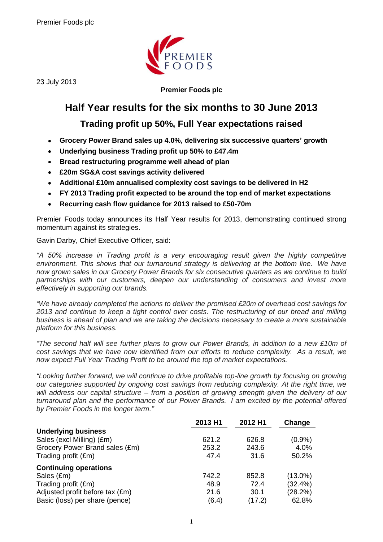

23 July 2013

**Premier Foods plc**

# **Half Year results for the six months to 30 June 2013**

# **Trading profit up 50%, Full Year expectations raised**

- **Grocery Power Brand sales up 4.0%, delivering six successive quarters' growth**  $\bullet$
- **Underlying business Trading profit up 50% to £47.4m**
- **Bread restructuring programme well ahead of plan**  $\bullet$
- **£20m SG&A cost savings activity delivered**   $\bullet$
- **Additional £10m annualised complexity cost savings to be delivered in H2**   $\bullet$
- **FY 2013 Trading profit expected to be around the top end of market expectations**  $\bullet$
- **Recurring cash flow guidance for 2013 raised to £50-70m**  $\bullet$

Premier Foods today announces its Half Year results for 2013, demonstrating continued strong momentum against its strategies.

Gavin Darby, Chief Executive Officer, said:

*"A 50% increase in Trading profit is a very encouraging result given the highly competitive environment. This shows that our turnaround strategy is delivering at the bottom line. We have now grown sales in our Grocery Power Brands for six consecutive quarters as we continue to build partnerships with our customers, deepen our understanding of consumers and invest more effectively in supporting our brands.*

*"We have already completed the actions to deliver the promised £20m of overhead cost savings for 2013 and continue to keep a tight control over costs. The restructuring of our bread and milling business is ahead of plan and we are taking the decisions necessary to create a more sustainable platform for this business.*

*"The second half will see further plans to grow our Power Brands, in addition to a new £10m of cost savings that we have now identified from our efforts to reduce complexity. As a result, we now expect Full Year Trading Profit to be around the top of market expectations.*

*"Looking further forward, we will continue to drive profitable top-line growth by focusing on growing our categories supported by ongoing cost savings from reducing complexity. At the right time, we will address our capital structure – from a position of growing strength given the delivery of our turnaround plan and the performance of our Power Brands. I am excited by the potential offered by Premier Foods in the longer term."*

|                                 | 2013 H1 | 2012 H1 | Change     |
|---------------------------------|---------|---------|------------|
| <b>Underlying business</b>      |         |         |            |
| Sales (excl Milling) (£m)       | 621.2   | 626.8   | (0.9%      |
| Grocery Power Brand sales (£m)  | 253.2   | 243.6   | 4.0%       |
| Trading profit (£m)             | 47.4    | 31.6    | 50.2%      |
| <b>Continuing operations</b>    |         |         |            |
| Sales (£m)                      | 742.2   | 852.8   | $(13.0\%)$ |
| Trading profit (£m)             | 48.9    | 72.4    | (32.4%)    |
| Adjusted profit before tax (£m) | 21.6    | 30.1    | (28.2%)    |
| Basic (loss) per share (pence)  | (6.4)   | (17.2)  | 62.8%      |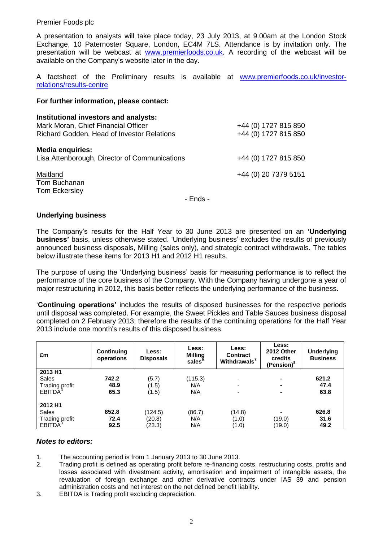A presentation to analysts will take place today, 23 July 2013, at 9.00am at the London Stock Exchange, 10 Paternoster Square, London, EC4M 7LS. Attendance is by invitation only. The presentation will be webcast at [www.premierfoods.co.uk.](http://www.premierfoods.co.uk/) A recording of the webcast will be available on the Company's website later in the day.

A factsheet of the Preliminary results is available at [www.premierfoods.co.uk/investor](http://www.premierfoods.co.uk/investor-relations/results-centre)[relations/results-centre](http://www.premierfoods.co.uk/investor-relations/results-centre)

#### **For further information, please contact:**

| Institutional investors and analysts:<br>Mark Moran, Chief Financial Officer<br>Richard Godden, Head of Investor Relations | +44 (0) 1727 815 850<br>+44 (0) 1727 815 850 |
|----------------------------------------------------------------------------------------------------------------------------|----------------------------------------------|
| <b>Media enquiries:</b><br>Lisa Attenborough, Director of Communications                                                   | +44 (0) 1727 815 850                         |
| Maitland<br>Tom Buchanan<br>Tom Eckersley                                                                                  | +44 (0) 20 7379 5151                         |

- Ends -

#### **Underlying business**

The Company's results for the Half Year to 30 June 2013 are presented on an **'Underlying business'** basis, unless otherwise stated. 'Underlying business' excludes the results of previously announced business disposals, Milling (sales only), and strategic contract withdrawals. The tables below illustrate these items for 2013 H1 and 2012 H1 results.

The purpose of using the 'Underlying business' basis for measuring performance is to reflect the performance of the core business of the Company. With the Company having undergone a year of major restructuring in 2012, this basis better reflects the underlying performance of the business.

'**Continuing operations'** includes the results of disposed businesses for the respective periods until disposal was completed. For example, the Sweet Pickles and Table Sauces business disposal completed on 2 February 2013; therefore the results of the continuing operations for the Half Year 2013 include one month's results of this disposed business.

| £m                    | Continuing<br>operations | Less:<br><b>Disposals</b> | Less:<br><b>Milling</b><br>sales | Less:<br><b>Contract</b><br>Withdrawals <sup>7</sup> | Less:<br>2012 Other<br>credits<br>(Pension) <sup>8</sup> | <b>Underlying</b><br><b>Business</b> |
|-----------------------|--------------------------|---------------------------|----------------------------------|------------------------------------------------------|----------------------------------------------------------|--------------------------------------|
| 2013 H1               |                          |                           |                                  |                                                      |                                                          |                                      |
| Sales                 | 742.2                    | (5.7)                     | (115.3)                          |                                                      |                                                          | 621.2                                |
| Trading profit        | 48.9                     | (1.5)                     | N/A                              | ۰                                                    |                                                          | 47.4                                 |
| EBITDA <sup>3</sup>   | 65.3                     | (1.5)                     | N/A                              |                                                      |                                                          | 63.8                                 |
| 2012 H1               |                          |                           |                                  |                                                      |                                                          |                                      |
| Sales                 | 852.8                    | (124.5)                   | (86.7)                           | (14.8)                                               | $\blacksquare$                                           | 626.8                                |
| <b>Trading profit</b> | 72.4                     | (20.8)                    | N/A                              | (1.0)                                                | (19.0)                                                   | 31.6                                 |
| EBITDA <sup>3</sup>   | 92.5                     | (23.3)                    | N/A                              | (1.0)                                                | (19.0)                                                   | 49.2                                 |

#### *Notes to editors:*

- 1. The accounting period is from 1 January 2013 to 30 June 2013.
- 2. Trading profit is defined as operating profit before re-financing costs, restructuring costs, profits and losses associated with divestment activity, amortisation and impairment of intangible assets, the revaluation of foreign exchange and other derivative contracts under IAS 39 and pension administration costs and net interest on the net defined benefit liability.
- 3. EBITDA is Trading profit excluding depreciation.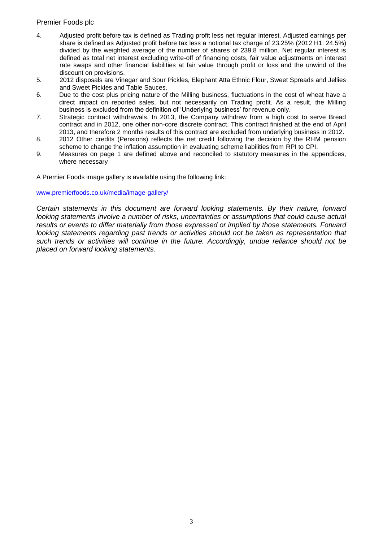- 4. Adjusted profit before tax is defined as Trading profit less net regular interest. Adjusted earnings per share is defined as Adjusted profit before tax less a notional tax charge of 23.25% (2012 H1: 24.5%) divided by the weighted average of the number of shares of 239.8 million. Net regular interest is defined as total net interest excluding write-off of financing costs, fair value adjustments on interest rate swaps and other financial liabilities at fair value through profit or loss and the unwind of the discount on provisions.
- 5. 2012 disposals are Vinegar and Sour Pickles, Elephant Atta Ethnic Flour, Sweet Spreads and Jellies and Sweet Pickles and Table Sauces.
- 6. Due to the cost plus pricing nature of the Milling business, fluctuations in the cost of wheat have a direct impact on reported sales, but not necessarily on Trading profit. As a result, the Milling business is excluded from the definition of 'Underlying business' for revenue only.
- 7. Strategic contract withdrawals. In 2013, the Company withdrew from a high cost to serve Bread contract and in 2012, one other non-core discrete contract. This contract finished at the end of April 2013, and therefore 2 months results of this contract are excluded from underlying business in 2012.
- 8. 2012 Other credits (Pensions) reflects the net credit following the decision by the RHM pension scheme to change the inflation assumption in evaluating scheme liabilities from RPI to CPI.
- 9. Measures on page 1 are defined above and reconciled to statutory measures in the appendices, where necessary

A Premier Foods image gallery is available using the following link:

#### [www.premierfoods.co.uk/media/image-gallery/](http://www.premierfoods.co.uk/media/image-gallery/)

*Certain statements in this document are forward looking statements. By their nature, forward looking statements involve a number of risks, uncertainties or assumptions that could cause actual results or events to differ materially from those expressed or implied by those statements. Forward looking statements regarding past trends or activities should not be taken as representation that such trends or activities will continue in the future. Accordingly, undue reliance should not be placed on forward looking statements.*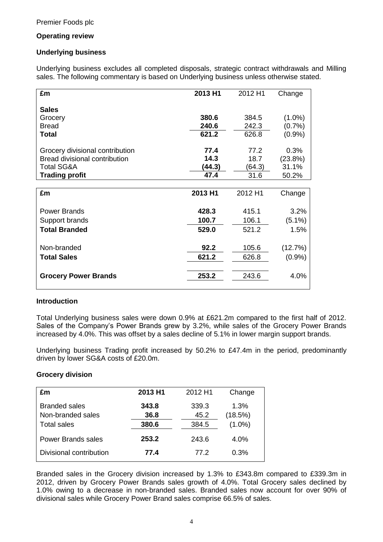# **Operating review**

# **Underlying business**

Underlying business excludes all completed disposals, strategic contract withdrawals and Milling sales. The following commentary is based on Underlying business unless otherwise stated.

| £m                                   | 2013 H1 | 2012 H1 | Change    |
|--------------------------------------|---------|---------|-----------|
| <b>Sales</b>                         |         |         |           |
| Grocery                              | 380.6   | 384.5   | $(1.0\%)$ |
| <b>Bread</b>                         | 240.6   | 242.3   | (0.7%     |
| Total                                | 621.2   | 626.8   | (0.9%     |
| Grocery divisional contribution      | 77.4    | 77.2    | 0.3%      |
| <b>Bread divisional contribution</b> | 14.3    | 18.7    | (23.8%)   |
| <b>Total SG&amp;A</b>                | (44.3)  | (64.3)  | 31.1%     |
| <b>Trading profit</b>                | 47.4    | 31.6    | 50.2%     |
|                                      |         |         |           |
| £m                                   | 2013 H1 | 2012 H1 | Change    |
|                                      |         |         |           |
| <b>Power Brands</b>                  | 428.3   | 415.1   | 3.2%      |
| Support brands                       | 100.7   | 106.1   | $(5.1\%)$ |
| <b>Total Branded</b>                 | 529.0   | 521.2   | 1.5%      |
|                                      |         |         |           |
| Non-branded                          | 92.2    | 105.6   | (12.7%)   |
| <b>Total Sales</b>                   | 621.2   | 626.8   | (0.9%     |
|                                      |         |         |           |
| <b>Grocery Power Brands</b>          | 253.2   | 243.6   | 4.0%      |
|                                      |         |         |           |

# **Introduction**

Total Underlying business sales were down 0.9% at £621.2m compared to the first half of 2012. Sales of the Company's Power Brands grew by 3.2%, while sales of the Grocery Power Brands increased by 4.0%. This was offset by a sales decline of 5.1% in lower margin support brands.

Underlying business Trading profit increased by 50.2% to £47.4m in the period, predominantly driven by lower SG&A costs of £20.0m.

# **Grocery division**

| £m                        | 2013 H1 | 2012 H1 | Change    |
|---------------------------|---------|---------|-----------|
| <b>Branded sales</b>      | 343.8   | 339.3   | 1.3%      |
| Non-branded sales         | 36.8    | 45.2    | (18.5%)   |
| <b>Total sales</b>        | 380.6   | 384.5   | $(1.0\%)$ |
| <b>Power Brands sales</b> | 253.2   | 243.6   | 4.0%      |
| Divisional contribution   | 77.4    | 77.2    | 0.3%      |

Branded sales in the Grocery division increased by 1.3% to £343.8m compared to £339.3m in 2012, driven by Grocery Power Brands sales growth of 4.0%. Total Grocery sales declined by 1.0% owing to a decrease in non-branded sales. Branded sales now account for over 90% of divisional sales while Grocery Power Brand sales comprise 66.5% of sales.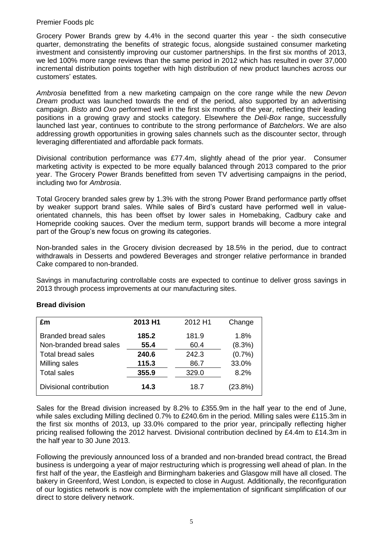Grocery Power Brands grew by 4.4% in the second quarter this year - the sixth consecutive quarter, demonstrating the benefits of strategic focus, alongside sustained consumer marketing investment and consistently improving our customer partnerships. In the first six months of 2013, we led 100% more range reviews than the same period in 2012 which has resulted in over 37,000 incremental distribution points together with high distribution of new product launches across our customers' estates*.*

*Ambrosia* benefitted from a new marketing campaign on the core range while the new *Devon Dream* product was launched towards the end of the period, also supported by an advertising campaign. *Bisto* and *Oxo* performed well in the first six months of the year, reflecting their leading positions in a growing gravy and stocks category. Elsewhere the *Deli-Box* range, successfully launched last year, continues to contribute to the strong performance of *Batchelors*. We are also addressing growth opportunities in growing sales channels such as the discounter sector, through leveraging differentiated and affordable pack formats.

Divisional contribution performance was £77.4m, slightly ahead of the prior year. Consumer marketing activity is expected to be more equally balanced through 2013 compared to the prior year. The Grocery Power Brands benefitted from seven TV advertising campaigns in the period, including two for *Ambrosia*.

Total Grocery branded sales grew by 1.3% with the strong Power Brand performance partly offset by weaker support brand sales. While sales of Bird's custard have performed well in valueorientated channels, this has been offset by lower sales in Homebaking, Cadbury cake and Homepride cooking sauces. Over the medium term, support brands will become a more integral part of the Group's new focus on growing its categories.

Non-branded sales in the Grocery division decreased by 18.5% in the period, due to contract withdrawals in Desserts and powdered Beverages and stronger relative performance in branded Cake compared to non-branded.

Savings in manufacturing controllable costs are expected to continue to deliver gross savings in 2013 through process improvements at our manufacturing sites.

| £m                         | 2013 H1 | 2012 H1 | Change  |
|----------------------------|---------|---------|---------|
| <b>Branded bread sales</b> | 185.2   | 181.9   | 1.8%    |
| Non-branded bread sales    | 55.4    | 60.4    | (8.3%)  |
| <b>Total bread sales</b>   | 240.6   | 242.3   | (0.7%   |
| Milling sales              | 115.3   | 86.7    | 33.0%   |
| <b>Total sales</b>         | 355.9   | 329.0   | 8.2%    |
| Divisional contribution    | 14.3    | 18.7    | (23.8%) |

# **Bread division**

Sales for the Bread division increased by 8.2% to £355.9m in the half year to the end of June, while sales excluding Milling declined 0.7% to £240.6m in the period. Milling sales were £115.3m in the first six months of 2013, up 33.0% compared to the prior year, principally reflecting higher pricing realised following the 2012 harvest. Divisional contribution declined by £4.4m to £14.3m in the half year to 30 June 2013.

Following the previously announced loss of a branded and non-branded bread contract, the Bread business is undergoing a year of major restructuring which is progressing well ahead of plan. In the first half of the year, the Eastleigh and Birmingham bakeries and Glasgow mill have all closed. The bakery in Greenford, West London, is expected to close in August. Additionally, the reconfiguration of our logistics network is now complete with the implementation of significant simplification of our direct to store delivery network.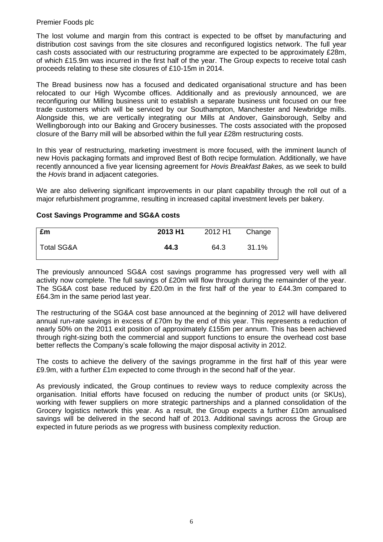The lost volume and margin from this contract is expected to be offset by manufacturing and distribution cost savings from the site closures and reconfigured logistics network. The full year cash costs associated with our restructuring programme are expected to be approximately £28m, of which £15.9m was incurred in the first half of the year. The Group expects to receive total cash proceeds relating to these site closures of £10-15m in 2014.

The Bread business now has a focused and dedicated organisational structure and has been relocated to our High Wycombe offices. Additionally and as previously announced, we are reconfiguring our Milling business unit to establish a separate business unit focused on our free trade customers which will be serviced by our Southampton, Manchester and Newbridge mills. Alongside this, we are vertically integrating our Mills at Andover, Gainsborough, Selby and Wellingborough into our Baking and Grocery businesses. The costs associated with the proposed closure of the Barry mill will be absorbed within the full year £28m restructuring costs.

In this year of restructuring, marketing investment is more focused, with the imminent launch of new Hovis packaging formats and improved Best of Both recipe formulation. Additionally, we have recently announced a five year licensing agreement for *Hovis Breakfast Bakes,* as we seek to build the *Hovis* brand in adjacent categories.

We are also delivering significant improvements in our plant capability through the roll out of a major refurbishment programme, resulting in increased capital investment levels per bakery.

# **Cost Savings Programme and SG&A costs**

| £m         | 2013 H1 | 2012 H1 | Change |
|------------|---------|---------|--------|
| Total SG&A | 44.3    | 64.3    | 31.1%  |

The previously announced SG&A cost savings programme has progressed very well with all activity now complete. The full savings of £20m will flow through during the remainder of the year. The SG&A cost base reduced by £20.0m in the first half of the year to £44.3m compared to £64.3m in the same period last year.

The restructuring of the SG&A cost base announced at the beginning of 2012 will have delivered annual run-rate savings in excess of £70m by the end of this year. This represents a reduction of nearly 50% on the 2011 exit position of approximately £155m per annum. This has been achieved through right-sizing both the commercial and support functions to ensure the overhead cost base better reflects the Company's scale following the major disposal activity in 2012.

The costs to achieve the delivery of the savings programme in the first half of this year were £9.9m, with a further £1m expected to come through in the second half of the year.

As previously indicated, the Group continues to review ways to reduce complexity across the organisation. Initial efforts have focused on reducing the number of product units (or SKUs), working with fewer suppliers on more strategic partnerships and a planned consolidation of the Grocery logistics network this year. As a result, the Group expects a further £10m annualised savings will be delivered in the second half of 2013. Additional savings across the Group are expected in future periods as we progress with business complexity reduction.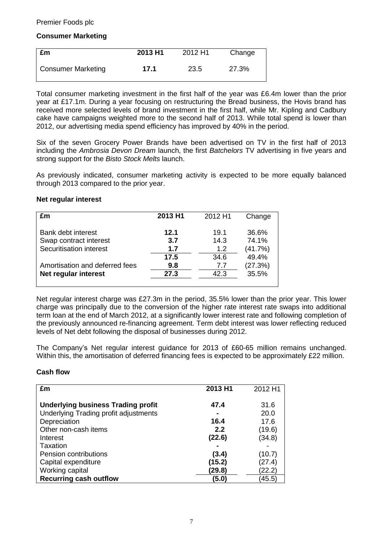# **Consumer Marketing**

| £m                        | 2013 H1 | 2012 H1 | Change |
|---------------------------|---------|---------|--------|
| <b>Consumer Marketing</b> | 17.1    | 23.5    | 27.3%  |

Total consumer marketing investment in the first half of the year was £6.4m lower than the prior year at £17.1m. During a year focusing on restructuring the Bread business, the Hovis brand has received more selected levels of brand investment in the first half, while Mr. Kipling and Cadbury cake have campaigns weighted more to the second half of 2013. While total spend is lower than 2012, our advertising media spend efficiency has improved by 40% in the period.

Six of the seven Grocery Power Brands have been advertised on TV in the first half of 2013 including the *Ambrosia Devon Dream* launch, the first *Batchelors* TV advertising in five years and strong support for the *Bisto Stock Melts* launch.

As previously indicated, consumer marketing activity is expected to be more equally balanced through 2013 compared to the prior year.

#### **Net regular interest**

| £m                             | 2013 H1 | 2012 H1 | Change  |
|--------------------------------|---------|---------|---------|
| Bank debt interest             | 12.1    | 19.1    | 36.6%   |
| Swap contract interest         | 3.7     | 14.3    | 74.1%   |
| Securitisation interest        | 1.7     | 1.2     | (41.7%) |
|                                | 17.5    | 34.6    | 49.4%   |
| Amortisation and deferred fees | 9.8     | 7.7     | (27.3%) |
| Net regular interest           | 27.3    | 42.3    | 35.5%   |
|                                |         |         |         |

Net regular interest charge was £27.3m in the period, 35.5% lower than the prior year. This lower charge was principally due to the conversion of the higher rate interest rate swaps into additional term loan at the end of March 2012, at a significantly lower interest rate and following completion of the previously announced re-financing agreement. Term debt interest was lower reflecting reduced levels of Net debt following the disposal of businesses during 2012.

The Company's Net regular interest guidance for 2013 of £60-65 million remains unchanged. Within this, the amortisation of deferred financing fees is expected to be approximately £22 million.

# **Cash flow**

| £m                                        | 2013 H1 | 2012 H1 |
|-------------------------------------------|---------|---------|
| <b>Underlying business Trading profit</b> | 47.4    | 31.6    |
| Underlying Trading profit adjustments     |         | 20.0    |
| Depreciation                              | 16.4    | 17.6    |
| Other non-cash items                      | 2.2     | (19.6)  |
| Interest                                  | (22.6)  | (34.8)  |
| Taxation                                  |         |         |
| Pension contributions                     | (3.4)   | (10.7   |
| Capital expenditure                       | (15.2)  | (27.4)  |
| Working capital                           | (29.8)  | 22.2    |
| <b>Recurring cash outflow</b>             | (5.0)   | 45.5    |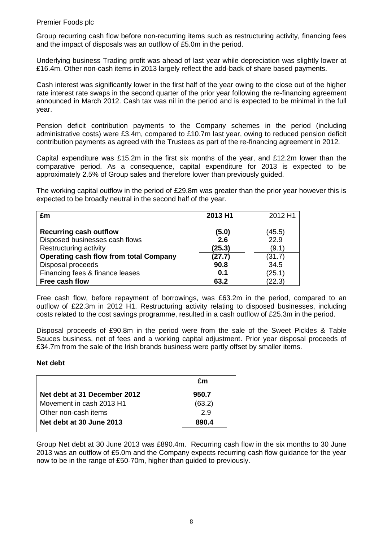Group recurring cash flow before non-recurring items such as restructuring activity, financing fees and the impact of disposals was an outflow of £5.0m in the period.

Underlying business Trading profit was ahead of last year while depreciation was slightly lower at £16.4m. Other non-cash items in 2013 largely reflect the add-back of share based payments.

Cash interest was significantly lower in the first half of the year owing to the close out of the higher rate interest rate swaps in the second quarter of the prior year following the re-financing agreement announced in March 2012. Cash tax was nil in the period and is expected to be minimal in the full year.

Pension deficit contribution payments to the Company schemes in the period (including administrative costs) were £3.4m, compared to £10.7m last year, owing to reduced pension deficit contribution payments as agreed with the Trustees as part of the re-financing agreement in 2012.

Capital expenditure was £15.2m in the first six months of the year, and £12.2m lower than the comparative period. As a consequence, capital expenditure for 2013 is expected to be approximately 2.5% of Group sales and therefore lower than previously guided.

The working capital outflow in the period of £29.8m was greater than the prior year however this is expected to be broadly neutral in the second half of the year.

| £m                                            | 2013 H1 | 2012 H1 |
|-----------------------------------------------|---------|---------|
| <b>Recurring cash outflow</b>                 | (5.0)   | (45.5)  |
| Disposed businesses cash flows                | 2.6     | 22.9    |
| Restructuring activity                        | (25.3)  | (9.1)   |
| <b>Operating cash flow from total Company</b> | (27.7)  | (31.7)  |
| Disposal proceeds                             | 90.8    | 34.5    |
| Financing fees & finance leases               | 0.1     | (25.1)  |
| Free cash flow                                | 63.2    | (22.3)  |

Free cash flow, before repayment of borrowings, was £63.2m in the period, compared to an outflow of £22.3m in 2012 H1. Restructuring activity relating to disposed businesses, including costs related to the cost savings programme, resulted in a cash outflow of £25.3m in the period.

Disposal proceeds of £90.8m in the period were from the sale of the Sweet Pickles & Table Sauces business, net of fees and a working capital adjustment. Prior year disposal proceeds of £34.7m from the sale of the Irish brands business were partly offset by smaller items.

# **Net debt**

|                              | £m     |
|------------------------------|--------|
| Net debt at 31 December 2012 | 950.7  |
| Movement in cash 2013 H1     | (63.2) |
| Other non-cash items         | 2.9    |
| Net debt at 30 June 2013     | 890.4  |

Group Net debt at 30 June 2013 was £890.4m. Recurring cash flow in the six months to 30 June 2013 was an outflow of £5.0m and the Company expects recurring cash flow guidance for the year now to be in the range of £50-70m, higher than guided to previously.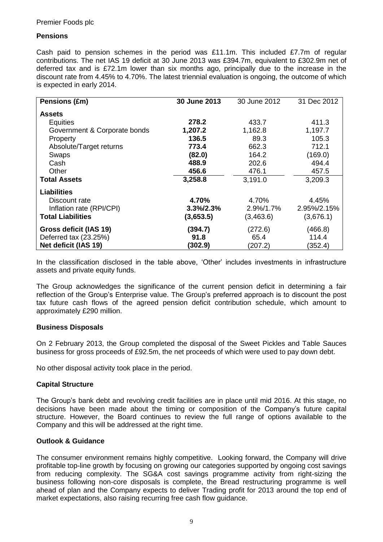# **Pensions**

Cash paid to pension schemes in the period was £11.1m. This included £7.7m of regular contributions. The net IAS 19 deficit at 30 June 2013 was £394.7m, equivalent to £302.9m net of deferred tax and is £72.1m lower than six months ago, principally due to the increase in the discount rate from 4.45% to 4.70%. The latest triennial evaluation is ongoing, the outcome of which is expected in early 2014.

| Pensions (£m)                | 30 June 2013 | 30 June 2012 |             |
|------------------------------|--------------|--------------|-------------|
| <b>Assets</b>                |              |              |             |
| <b>Equities</b>              | 278.2        | 433.7        | 411.3       |
| Government & Corporate bonds | 1,207.2      | 1,162.8      | 1,197.7     |
| Property                     | 136.5        | 89.3         | 105.3       |
| Absolute/Target returns      | 773.4        | 662.3        | 712.1       |
| Swaps                        | (82.0)       | 164.2        | (169.0)     |
| Cash                         | 488.9        | 202.6        | 494.4       |
| Other                        | 456.6        | 476.1        | 457.5       |
| <b>Total Assets</b>          | 3,258.8      | 3,191.0      | 3,209.3     |
| <b>Liabilities</b>           |              |              |             |
| Discount rate                | 4.70%        | 4.70%        | 4.45%       |
| Inflation rate (RPI/CPI)     | 3.3%/2.3%    | 2.9%/1.7%    | 2.95%/2.15% |
| <b>Total Liabilities</b>     | (3,653.5)    | (3,463.6)    | (3,676.1)   |
| Gross deficit (IAS 19)       | (394.7)      | (272.6)      | (466.8)     |
| Deferred tax (23.25%)        | 91.8         | 65.4         | 114.4       |
| Net deficit (IAS 19)         | (302.9)      | (207.2)      | (352.4)     |

In the classification disclosed in the table above, 'Other' includes investments in infrastructure assets and private equity funds.

The Group acknowledges the significance of the current pension deficit in determining a fair reflection of the Group's Enterprise value. The Group's preferred approach is to discount the post tax future cash flows of the agreed pension deficit contribution schedule, which amount to approximately £290 million.

# **Business Disposals**

On 2 February 2013, the Group completed the disposal of the Sweet Pickles and Table Sauces business for gross proceeds of £92.5m, the net proceeds of which were used to pay down debt.

No other disposal activity took place in the period.

# **Capital Structure**

The Group's bank debt and revolving credit facilities are in place until mid 2016. At this stage, no decisions have been made about the timing or composition of the Company's future capital structure. However, the Board continues to review the full range of options available to the Company and this will be addressed at the right time.

# **Outlook & Guidance**

The consumer environment remains highly competitive. Looking forward, the Company will drive profitable top-line growth by focusing on growing our categories supported by ongoing cost savings from reducing complexity. The SG&A cost savings programme activity from right-sizing the business following non-core disposals is complete, the Bread restructuring programme is well ahead of plan and the Company expects to deliver Trading profit for 2013 around the top end of market expectations, also raising recurring free cash flow guidance.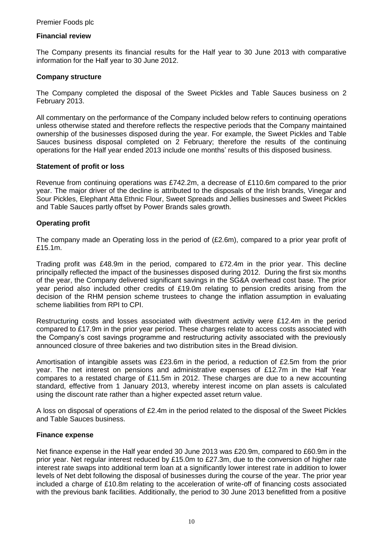## **Financial review**

The Company presents its financial results for the Half year to 30 June 2013 with comparative information for the Half year to 30 June 2012.

#### **Company structure**

The Company completed the disposal of the Sweet Pickles and Table Sauces business on 2 February 2013.

All commentary on the performance of the Company included below refers to continuing operations unless otherwise stated and therefore reflects the respective periods that the Company maintained ownership of the businesses disposed during the year. For example, the Sweet Pickles and Table Sauces business disposal completed on 2 February; therefore the results of the continuing operations for the Half year ended 2013 include one months' results of this disposed business.

#### **Statement of profit or loss**

Revenue from continuing operations was £742.2m, a decrease of £110.6m compared to the prior year. The major driver of the decline is attributed to the disposals of the Irish brands, Vinegar and Sour Pickles, Elephant Atta Ethnic Flour, Sweet Spreads and Jellies businesses and Sweet Pickles and Table Sauces partly offset by Power Brands sales growth*.*

# **Operating profit**

The company made an Operating loss in the period of (£2.6m), compared to a prior year profit of £15.1m.

Trading profit was £48.9m in the period, compared to £72.4m in the prior year. This decline principally reflected the impact of the businesses disposed during 2012. During the first six months of the year, the Company delivered significant savings in the SG&A overhead cost base. The prior year period also included other credits of £19.0m relating to pension credits arising from the decision of the RHM pension scheme trustees to change the inflation assumption in evaluating scheme liabilities from RPI to CPI.

Restructuring costs and losses associated with divestment activity were £12.4m in the period compared to £17.9m in the prior year period. These charges relate to access costs associated with the Company's cost savings programme and restructuring activity associated with the previously announced closure of three bakeries and two distribution sites in the Bread division.

Amortisation of intangible assets was £23.6m in the period, a reduction of £2.5m from the prior year. The net interest on pensions and administrative expenses of £12.7m in the Half Year compares to a restated charge of £11.5m in 2012. These charges are due to a new accounting standard, effective from 1 January 2013, whereby interest income on plan assets is calculated using the discount rate rather than a higher expected asset return value.

A loss on disposal of operations of £2.4m in the period related to the disposal of the Sweet Pickles and Table Sauces business.

#### **Finance expense**

Net finance expense in the Half year ended 30 June 2013 was £20.9m, compared to £60.9m in the prior year. Net regular interest reduced by £15.0m to £27.3m, due to the conversion of higher rate interest rate swaps into additional term loan at a significantly lower interest rate in addition to lower levels of Net debt following the disposal of businesses during the course of the year. The prior year included a charge of £10.8m relating to the acceleration of write-off of financing costs associated with the previous bank facilities. Additionally, the period to 30 June 2013 benefitted from a positive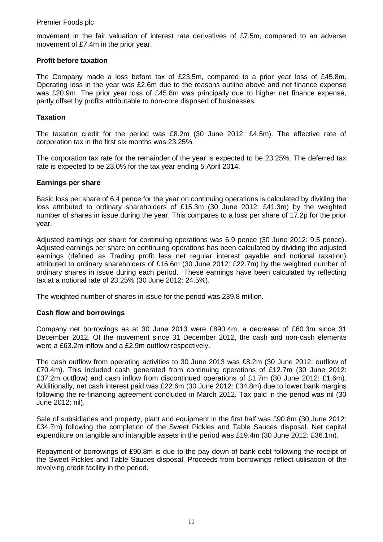movement in the fair valuation of interest rate derivatives of £7.5m, compared to an adverse movement of £7.4m in the prior year.

## **Profit before taxation**

The Company made a loss before tax of £23.5m, compared to a prior year loss of £45.8m. Operating loss in the year was £2.6m due to the reasons outline above and net finance expense was £20.9m. The prior year loss of £45.8m was principally due to higher net finance expense, partly offset by profits attributable to non-core disposed of businesses.

## **Taxation**

The taxation credit for the period was £8.2m (30 June 2012: £4.5m). The effective rate of corporation tax in the first six months was 23.25%.

The corporation tax rate for the remainder of the year is expected to be 23.25%. The deferred tax rate is expected to be 23.0% for the tax year ending 5 April 2014.

#### **Earnings per share**

Basic loss per share of 6.4 pence for the year on continuing operations is calculated by dividing the loss attributed to ordinary shareholders of £15.3m (30 June 2012: £41.3m) by the weighted number of shares in issue during the year. This compares to a loss per share of 17.2p for the prior year.

Adjusted earnings per share for continuing operations was 6.9 pence (30 June 2012: 9.5 pence). Adjusted earnings per share on continuing operations has been calculated by dividing the adjusted earnings (defined as Trading profit less net regular interest payable and notional taxation) attributed to ordinary shareholders of £16.6m (30 June 2012: £22.7m) by the weighted number of ordinary shares in issue during each period. These earnings have been calculated by reflecting tax at a notional rate of 23.25% (30 June 2012: 24.5%).

The weighted number of shares in issue for the period was 239.8 million.

# **Cash flow and borrowings**

Company net borrowings as at 30 June 2013 were £890.4m, a decrease of £60.3m since 31 December 2012. Of the movement since 31 December 2012, the cash and non-cash elements were a £63.2m inflow and a £2.9m outflow respectively.

The cash outflow from operating activities to 30 June 2013 was £8.2m (30 June 2012: outflow of £70.4m). This included cash generated from continuing operations of £12.7m (30 June 2012: £37.2m outflow) and cash inflow from discontinued operations of £1.7m (30 June 2012: £1.6m). Additionally, net cash interest paid was £22.6m (30 June 2012: £34.8m) due to lower bank margins following the re-financing agreement concluded in March 2012. Tax paid in the period was nil (30 June 2012: nil).

Sale of subsidiaries and property, plant and equipment in the first half was £90.8m (30 June 2012: £34.7m) following the completion of the Sweet Pickles and Table Sauces disposal. Net capital expenditure on tangible and intangible assets in the period was £19.4m (30 June 2012: £36.1m).

Repayment of borrowings of £90.8m is due to the pay down of bank debt following the receipt of the Sweet Pickles and Table Sauces disposal. Proceeds from borrowings reflect utilisation of the revolving credit facility in the period.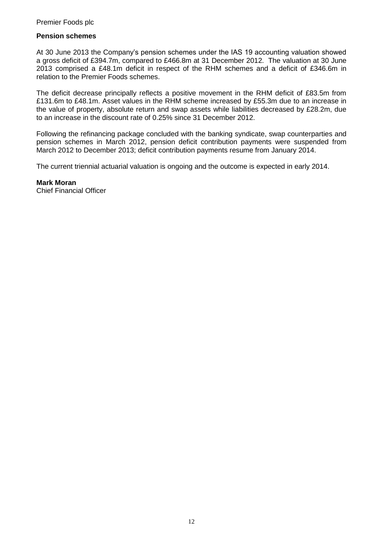## **Pension schemes**

At 30 June 2013 the Company's pension schemes under the IAS 19 accounting valuation showed a gross deficit of £394.7m, compared to £466.8m at 31 December 2012. The valuation at 30 June 2013 comprised a £48.1m deficit in respect of the RHM schemes and a deficit of £346.6m in relation to the Premier Foods schemes.

The deficit decrease principally reflects a positive movement in the RHM deficit of £83.5m from £131.6m to £48.1m. Asset values in the RHM scheme increased by £55.3m due to an increase in the value of property, absolute return and swap assets while liabilities decreased by £28.2m, due to an increase in the discount rate of 0.25% since 31 December 2012.

Following the refinancing package concluded with the banking syndicate, swap counterparties and pension schemes in March 2012, pension deficit contribution payments were suspended from March 2012 to December 2013; deficit contribution payments resume from January 2014.

The current triennial actuarial valuation is ongoing and the outcome is expected in early 2014.

**Mark Moran** Chief Financial Officer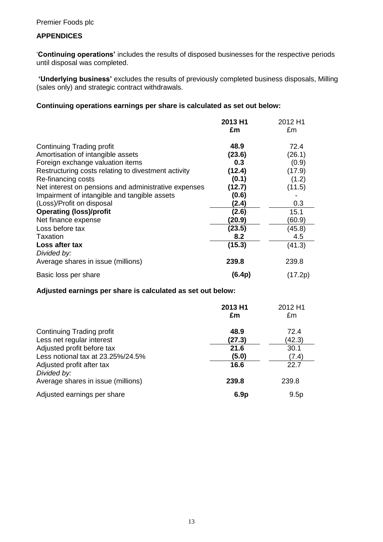# **APPENDICES**

'**Continuing operations'** includes the results of disposed businesses for the respective periods until disposal was completed.

**'Underlying business'** excludes the results of previously completed business disposals, Milling (sales only) and strategic contract withdrawals.

## **Continuing operations earnings per share is calculated as set out below:**

|                                                      | 2013 H1<br>£m | 2012 H1<br>£m |
|------------------------------------------------------|---------------|---------------|
| <b>Continuing Trading profit</b>                     | 48.9          | 72.4          |
| Amortisation of intangible assets                    | (23.6)        | (26.1)        |
| Foreign exchange valuation items                     | 0.3           | (0.9)         |
| Restructuring costs relating to divestment activity  | (12.4)        | (17.9)        |
| Re-financing costs                                   | (0.1)         | (1.2)         |
| Net interest on pensions and administrative expenses | (12.7)        | (11.5)        |
| Impairment of intangible and tangible assets         | (0.6)         |               |
| (Loss)/Profit on disposal                            | (2.4)         | 0.3           |
| <b>Operating (loss)/profit</b>                       | (2.6)         | 15.1          |
| Net finance expense                                  | (20.9)        | (60.9)        |
| Loss before tax                                      | (23.5)        | (45.8)        |
| Taxation                                             | 8.2           | 4.5           |
| Loss after tax<br>Divided by:                        | (15.3)        | (41.3)        |
| Average shares in issue (millions)                   | 239.8         | 239.8         |
| Basic loss per share                                 | (6.4p)        | (17.2p)       |

#### **Adjusted earnings per share is calculated as set out below:**

|                                          | 2013 H1<br>£m    | 2012 H1<br>£m |
|------------------------------------------|------------------|---------------|
| <b>Continuing Trading profit</b>         | 48.9             | 72.4          |
| Less net regular interest                | (27.3)           | (42.3)        |
| Adjusted profit before tax               | 21.6             | 30.1          |
| Less notional tax at 23.25%/24.5%        | (5.0)            | (7.4)         |
| Adjusted profit after tax<br>Divided by: | 16.6             | 22.7          |
| Average shares in issue (millions)       | 239.8            | 239.8         |
| Adjusted earnings per share              | 6.9 <sub>p</sub> | 9.5p          |
|                                          |                  |               |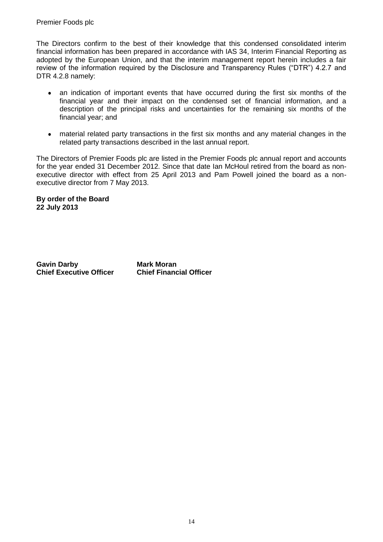The Directors confirm to the best of their knowledge that this condensed consolidated interim financial information has been prepared in accordance with IAS 34, Interim Financial Reporting as adopted by the European Union, and that the interim management report herein includes a fair review of the information required by the Disclosure and Transparency Rules ("DTR") 4.2.7 and DTR 4.2.8 namely:

- an indication of important events that have occurred during the first six months of the  $\bullet$ financial year and their impact on the condensed set of financial information, and a description of the principal risks and uncertainties for the remaining six months of the financial year; and
- material related party transactions in the first six months and any material changes in the  $\bullet$ related party transactions described in the last annual report.

The Directors of Premier Foods plc are listed in the Premier Foods plc annual report and accounts for the year ended 31 December 2012. Since that date Ian McHoul retired from the board as nonexecutive director with effect from 25 April 2013 and Pam Powell joined the board as a nonexecutive director from 7 May 2013.

**By order of the Board 22 July 2013** 

**Gavin Darby Mark Moran Chief Executive Officer**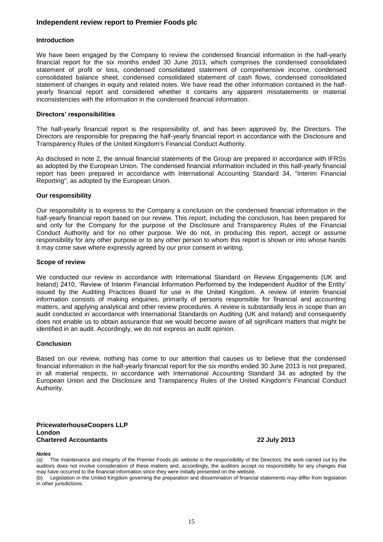#### **Independent review report to Premier Foods plc**

#### **Introduction**

We have been engaged by the Company to review the condensed financial information in the half-yearly financial report for the six months ended 30 June 2013, which comprises the condensed consolidated statement of profit or loss, condensed consolidated statement of comprehensive income, condensed consolidated balance sheet, condensed consolidated statement of cash flows, condensed consolidated statement of changes in equity and related notes. We have read the other information contained in the halfyearly financial report and considered whether it contains any apparent misstatements or material inconsistencies with the information in the condensed financial information.

#### **Directors' responsibilities**

The half-yearly financial report is the responsibility of, and has been approved by, the Directors. The Directors are responsible for preparing the half-yearly financial report in accordance with the Disclosure and Transparency Rules of the United Kingdom's Financial Conduct Authority.

As disclosed in note 2, the annual financial statements of the Group are prepared in accordance with IFRSs as adopted by the European Union. The condensed financial information included in this half-yearly financial report has been prepared in accordance with International Accounting Standard 34, "Interim Financial Reporting", as adopted by the European Union.

#### **Our responsibility**

Our responsibility is to express to the Company a conclusion on the condensed financial information in the half-yearly financial report based on our review. This report, including the conclusion, has been prepared for and only for the Company for the purpose of the Disclosure and Transparency Rules of the Financial Conduct Authority and for no other purpose. We do not, in producing this report, accept or assume responsibility for any other purpose or to any other person to whom this report is shown or into whose hands it may come save where expressly agreed by our prior consent in writing.

#### **Scope of review**

We conducted our review in accordance with International Standard on Review Engagements (UK and Ireland) 2410, 'Review of Interim Financial Information Performed by the Independent Auditor of the Entity' issued by the Auditing Practices Board for use in the United Kingdom. A review of interim financial information consists of making enquiries, primarily of persons responsible for financial and accounting matters, and applying analytical and other review procedures. A review is substantially less in scope than an audit conducted in accordance with International Standards on Auditing (UK and Ireland) and consequently does not enable us to obtain assurance that we would become aware of all significant matters that might be identified in an audit. Accordingly, we do not express an audit opinion.

#### **Conclusion**

Based on our review, nothing has come to our attention that causes us to believe that the condensed financial information in the half-yearly financial report for the six months ended 30 June 2013 is not prepared, in all material respects, in accordance with International Accounting Standard 34 as adopted by the European Union and the Disclosure and Transparency Rules of the United Kingdom's Financial Conduct Authority.

#### **PricewaterhouseCoopers LLP London Chartered Accountants 22 July 2013**

#### *Notes*

(a) The maintenance and integrity of the Premier Foods plc website is the responsibility of the Directors; the work carried out by the auditors does not involve consideration of these matters and, accordingly, the auditors accept no responsibility for any changes that may have occurred to the financial information since they were initially presented on the website.

(b) Legislation in the United Kingdom governing the preparation and dissemination of financial statements may differ from legislation in other jurisdictions.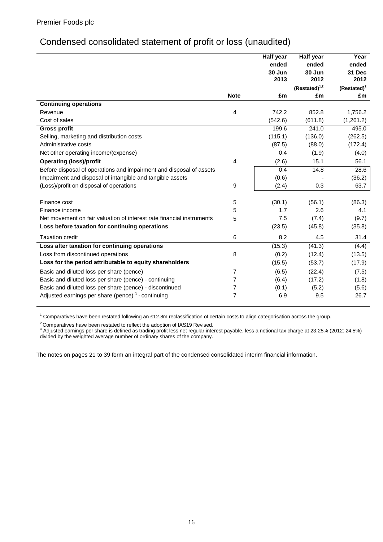# Condensed consolidated statement of profit or loss (unaudited)

|                                                                       |                | Half year | Half year          | Year           |
|-----------------------------------------------------------------------|----------------|-----------|--------------------|----------------|
|                                                                       |                | ended     | ended              | ended          |
|                                                                       |                | 30 Jun    | 30 Jun             | 31 Dec         |
|                                                                       |                | 2013      | 2012               | 2012           |
|                                                                       |                |           | $(Restated)^{1,2}$ | $(Restated)^2$ |
|                                                                       | <b>Note</b>    | £m        | £m                 | £m             |
| <b>Continuing operations</b>                                          |                |           |                    |                |
| Revenue                                                               | $\overline{4}$ | 742.2     | 852.8              | 1,756.2        |
| Cost of sales                                                         |                | (542.6)   | (611.8)            | (1,261.2)      |
| <b>Gross profit</b>                                                   |                | 199.6     | 241.0              | 495.0          |
| Selling, marketing and distribution costs                             |                | (115.1)   | (136.0)            | (262.5)        |
| Administrative costs                                                  |                | (87.5)    | (88.0)             | (172.4)        |
| Net other operating income/(expense)                                  |                | 0.4       | (1.9)              | (4.0)          |
| <b>Operating (loss)/profit</b>                                        | $\overline{4}$ | (2.6)     | 15.1               | 56.1           |
| Before disposal of operations and impairment and disposal of assets   |                | 0.4       | 14.8               | 28.6           |
| Impairment and disposal of intangible and tangible assets             |                | (0.6)     |                    | (36.2)         |
| (Loss)/profit on disposal of operations                               | 9              | (2.4)     | 0.3                | 63.7           |
| Finance cost                                                          | 5              | (30.1)    | (56.1)             | (86.3)         |
| Finance income                                                        | 5              | 1.7       | 2.6                | 4.1            |
| Net movement on fair valuation of interest rate financial instruments |                | 7.5       | (7.4)              | (9.7)          |
| Loss before taxation for continuing operations                        | 5              | (23.5)    | (45.8)             | (35.8)         |
|                                                                       |                |           |                    |                |
| <b>Taxation credit</b>                                                | 6              | 8.2       | 4.5                | 31.4           |
| Loss after taxation for continuing operations                         |                | (15.3)    | (41.3)             | (4.4)          |
| Loss from discontinued operations                                     | 8              | (0.2)     | (12.4)             | (13.5)         |
| Loss for the period attributable to equity shareholders               |                | (15.5)    | (53.7)             | (17.9)         |
| Basic and diluted loss per share (pence)                              | $\overline{7}$ | (6.5)     | (22.4)             | (7.5)          |
| Basic and diluted loss per share (pence) - continuing                 | $\overline{7}$ | (6.4)     | (17.2)             | (1.8)          |
| Basic and diluted loss per share (pence) - discontinued               | 7              | (0.1)     | (5.2)              | (5.6)          |
| Adjusted earnings per share (pence) <sup>3</sup> -continuing          | $\overline{7}$ | 6.9       | 9.5                | 26.7           |
|                                                                       |                |           |                    |                |

<sup>1</sup> Comparatives have been restated following an £12.8m reclassification of certain costs to align categorisation across the group.

 $2$ Comparatives have been restated to reflect the adoption of IAS19 Revised.

 $3$  Adjusted earnings per share is defined as trading profit less net regular interest payable, less a notional tax charge at 23.25% (2012: 24.5%) divided by the weighted average number of ordinary shares of the company.

The notes on pages 21 to 39 form an integral part of the condensed consolidated interim financial information.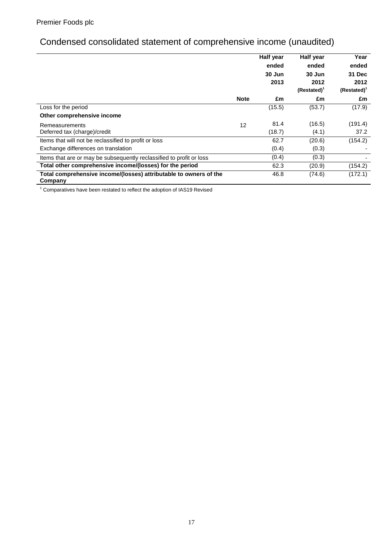# Condensed consolidated statement of comprehensive income (unaudited)

|                                                                              |             | Half year | Half year      | Year           |
|------------------------------------------------------------------------------|-------------|-----------|----------------|----------------|
|                                                                              |             | ended     | ended          | ended          |
|                                                                              |             | 30 Jun    | 30 Jun         | 31 Dec         |
|                                                                              |             | 2013      | 2012           | 2012           |
|                                                                              |             |           | $(Restated)^T$ | $(Restated)^1$ |
|                                                                              | <b>Note</b> | £m        | £m             | £m             |
| Loss for the period                                                          |             | (15.5)    | (53.7)         | (17.9)         |
| Other comprehensive income                                                   |             |           |                |                |
| Remeasurements                                                               | 12          | 81.4      | (16.5)         | (191.4)        |
| Deferred tax (charge)/credit                                                 |             | (18.7)    | (4.1)          | 37.2           |
| Items that will not be reclassified to profit or loss                        |             | 62.7      | (20.6)         | (154.2)        |
| Exchange differences on translation                                          |             | (0.4)     | (0.3)          |                |
| Items that are or may be subsequently reclassified to profit or loss         |             | (0.4)     | (0.3)          |                |
| Total other comprehensive income/(losses) for the period                     |             | 62.3      | (20.9)         | (154.2)        |
| Total comprehensive income/(losses) attributable to owners of the<br>Company |             | 46.8      | (74.6)         | (172.1)        |

 $1$  Comparatives have been restated to reflect the adoption of IAS19 Revised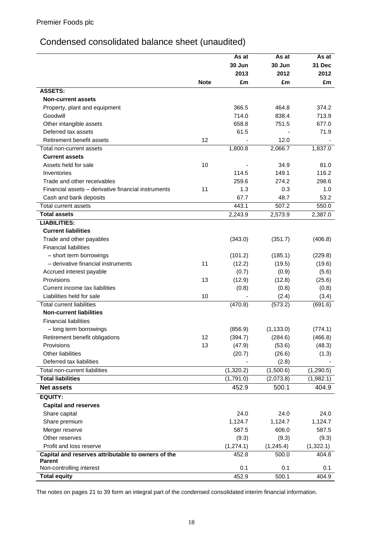# Condensed consolidated balance sheet (unaudited)

|                                                              |             | As at      | As at      | As at         |
|--------------------------------------------------------------|-------------|------------|------------|---------------|
|                                                              |             | 30 Jun     | 30 Jun     | <b>31 Dec</b> |
|                                                              |             | 2013       | 2012       | 2012          |
|                                                              | <b>Note</b> | £m         | £m         | £m            |
| <b>ASSETS:</b>                                               |             |            |            |               |
| <b>Non-current assets</b>                                    |             |            |            |               |
| Property, plant and equipment                                |             | 366.5      | 464.8      | 374.2         |
| Goodwill                                                     |             | 714.0      | 838.4      | 713.9         |
| Other intangible assets                                      |             | 658.8      | 751.5      | 677.0         |
| Deferred tax assets                                          |             | 61.5       |            | 71.9          |
| Retirement benefit assets                                    | 12          |            | 12.0       |               |
| Total non-current assets                                     |             | 1,800.8    | 2,066.7    | 1,837.0       |
| <b>Current assets</b>                                        |             |            |            |               |
| Assets held for sale                                         | 10          |            | 34.9       | 81.0          |
| Inventories                                                  |             | 114.5      | 149.1      | 116.2         |
| Trade and other receivables                                  |             | 259.6      | 274.2      | 298.6         |
| Financial assets - derivative financial instruments          | 11          | 1.3        | 0.3        | 1.0           |
| Cash and bank deposits                                       |             | 67.7       | 48.7       | 53.2          |
| Total current assets                                         |             | 443.1      | 507.2      | 550.0         |
| <b>Total assets</b>                                          |             | 2,243.9    | 2,573.9    | 2,387.0       |
| <b>LIABILITIES:</b>                                          |             |            |            |               |
| <b>Current liabilities</b>                                   |             |            |            |               |
| Trade and other payables                                     |             | (343.0)    | (351.7)    | (406.8)       |
| <b>Financial liabilities</b>                                 |             |            |            |               |
| - short term borrowings                                      |             | (101.2)    | (185.1)    | (229.8)       |
| - derivative financial instruments                           | 11          | (12.2)     | (19.5)     | (19.6)        |
| Accrued interest payable                                     |             | (0.7)      | (0.9)      | (5.6)         |
| Provisions                                                   | 13          | (12.9)     | (12.8)     | (25.6)        |
| Current income tax liabilities                               |             | (0.8)      | (0.8)      | (0.8)         |
| Liabilities held for sale                                    | 10          |            | (2.4)      | (3.4)         |
| <b>Total current liabilities</b>                             |             | (470.8)    | (573.2)    | (691.6)       |
| <b>Non-current liabilities</b>                               |             |            |            |               |
| <b>Financial liabilities</b>                                 |             |            |            |               |
| - long term borrowings                                       |             | (856.9)    | (1, 133.0) | (774.1)       |
| Retirement benefit obligations                               | 12          | (394.7)    | (284.6)    | (466.8)       |
| Provisions                                                   | 13          | (47.9)     | (53.6)     | (48.3)        |
| Other liabilities                                            |             | (20.7)     | (26.6)     | (1.3)         |
| Deferred tax liabilities                                     |             |            | (2.8)      |               |
| Total non-current liabilities                                |             | (1,320.2)  | (1,500.6)  | (1, 290.5)    |
| <b>Total liabilities</b>                                     |             | (1,791.0)  | (2,073.8)  | (1,982.1)     |
| <b>Net assets</b>                                            |             | 452.9      | 500.1      | 404.9         |
| EQUITY:                                                      |             |            |            |               |
| <b>Capital and reserves</b>                                  |             |            |            |               |
| Share capital                                                |             | 24.0       | 24.0       | 24.0          |
| Share premium                                                |             | 1,124.7    | 1,124.7    | 1,124.7       |
|                                                              |             | 587.5      | 606.0      | 587.5         |
| Merger reserve                                               |             |            |            |               |
| Other reserves                                               |             | (9.3)      | (9.3)      | (9.3)         |
| Profit and loss reserve                                      |             | (1, 274.1) | (1,245.4)  | (1,322.1)     |
| Capital and reserves attributable to owners of the<br>Parent |             | 452.8      | 500.0      | 404.8         |
| Non-controlling interest                                     |             | 0.1        | 0.1        | 0.1           |
| <b>Total equity</b>                                          |             | 452.9      | 500.1      | 404.9         |

The notes on pages 21 to 39 form an integral part of the condensed consolidated interim financial information.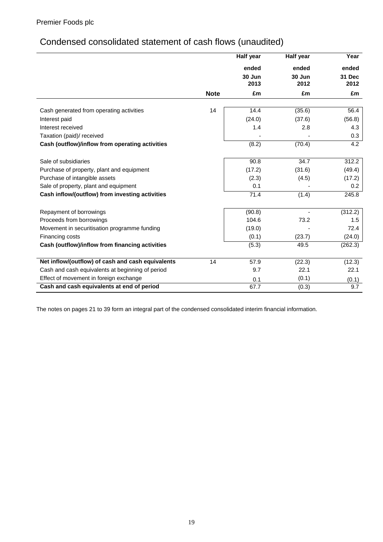# Condensed consolidated statement of cash flows (unaudited)

|                                                   |             | <b>Half year</b> | Half year      | Year                  |
|---------------------------------------------------|-------------|------------------|----------------|-----------------------|
|                                                   |             | ended            | ended          | ended                 |
|                                                   |             | 30 Jun<br>2013   | 30 Jun<br>2012 | <b>31 Dec</b><br>2012 |
|                                                   | <b>Note</b> | £m               | £m             | £m                    |
| Cash generated from operating activities          | 14          | 14.4             | (35.6)         | 56.4                  |
| Interest paid                                     |             | (24.0)           | (37.6)         | (56.8)                |
| Interest received                                 |             | 1.4              | 2.8            | 4.3                   |
| Taxation (paid)/ received                         |             |                  |                | 0.3                   |
| Cash (outflow)/inflow from operating activities   |             | (8.2)            | (70.4)         | 4.2                   |
| Sale of subsidiaries                              |             | 90.8             | 34.7           | 312.2                 |
| Purchase of property, plant and equipment         |             | (17.2)           | (31.6)         | (49.4)                |
| Purchase of intangible assets                     |             | (2.3)            | (4.5)          | (17.2)                |
| Sale of property, plant and equipment             |             | 0.1              |                | 0.2                   |
| Cash inflow/(outflow) from investing activities   |             | 71.4             | (1.4)          | 245.8                 |
| Repayment of borrowings                           |             | (90.8)           |                | (312.2)               |
| Proceeds from borrowings                          |             | 104.6            | 73.2           | 1.5                   |
| Movement in securitisation programme funding      |             | (19.0)           |                | 72.4                  |
| Financing costs                                   |             | (0.1)            | (23.7)         | (24.0)                |
| Cash (outflow)/inflow from financing activities   |             | (5.3)            | 49.5           | (262.3)               |
| Net inflow/(outflow) of cash and cash equivalents | 14          | 57.9             | (22.3)         | (12.3)                |
| Cash and cash equivalents at beginning of period  |             | 9.7              | 22.1           | 22.1                  |
| Effect of movement in foreign exchange            |             | 0.1              | (0.1)          | (0.1)                 |
| Cash and cash equivalents at end of period        |             | 67.7             | (0.3)          | 9.7                   |

The notes on pages 21 to 39 form an integral part of the condensed consolidated interim financial information.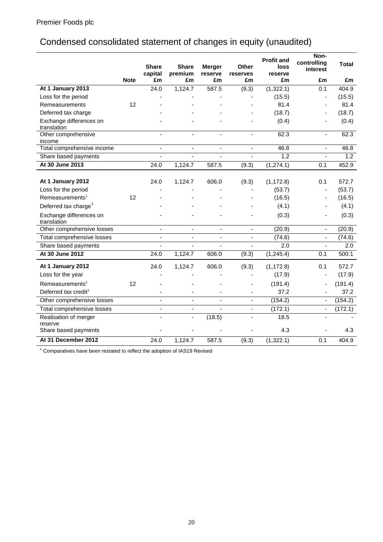# Condensed consolidated statement of changes in equity (unaudited)

|                                        |             | <b>Share</b><br>capital | <b>Share</b><br>premium      | <b>Merger</b><br>reserve | <b>Other</b><br>reserves | <b>Profit and</b><br>loss<br>reserve | Non-<br>controlling<br>interest | <b>Total</b> |
|----------------------------------------|-------------|-------------------------|------------------------------|--------------------------|--------------------------|--------------------------------------|---------------------------------|--------------|
|                                        | <b>Note</b> | £m                      | £m                           | £m                       | £m                       | £m                                   | £m                              | £m           |
| At 1 January 2013                      |             | $\overline{24.0}$       | 1,124.7                      | 587.5                    | (9.3)                    | (1,322.1)                            | 0.1                             | 404.9        |
| Loss for the period                    |             |                         |                              |                          |                          | (15.5)                               | $\overline{\phantom{a}}$        | (15.5)       |
| Remeasurements                         | 12          |                         |                              |                          |                          | 81.4                                 | $\blacksquare$                  | 81.4         |
| Deferred tax charge                    |             |                         |                              |                          |                          | (18.7)                               |                                 | (18.7)       |
| Exchange differences on<br>translation |             |                         |                              |                          |                          | (0.4)                                |                                 | (0.4)        |
| Other comprehensive                    |             | $\sim$                  | $\blacksquare$               | $\mathbf{r}$             | ä,                       | 62.3                                 | $\blacksquare$                  | 62.3         |
| income                                 |             |                         |                              |                          |                          |                                      |                                 |              |
| Total comprehensive income             |             | $\blacksquare$          | ÷,                           | $\blacksquare$           | ä,                       | 46.8                                 | $\blacksquare$                  | 46.8         |
| Share based payments                   |             | ÷,                      | ÷,                           |                          | ä,                       | 1.2                                  | ÷.                              | 1.2          |
| At 30 June 2013                        |             | 24.0                    | 1,124.7                      | 587.5                    | (9.3)                    | (1, 274.1)                           | $\overline{0.1}$                | 452.9        |
| At 1 January 2012                      |             | 24.0                    | 1,124.7                      | 606.0                    | (9.3)                    | (1, 172.8)                           | 0.1                             | 572.7        |
| Loss for the period                    |             |                         |                              |                          |                          | (53.7)                               |                                 | (53.7)       |
| Remeasurements <sup>1</sup>            | 12          |                         |                              |                          |                          | (16.5)                               |                                 | (16.5)       |
| Deferred tax charge <sup>1</sup>       |             |                         |                              |                          |                          | (4.1)                                |                                 | (4.1)        |
| Exchange differences on<br>translation |             |                         |                              |                          |                          | (0.3)                                |                                 | (0.3)        |
| Other comprehensive losses             |             | $\blacksquare$          | $\qquad \qquad \blacksquare$ | $\blacksquare$           | $\overline{\phantom{a}}$ | (20.9)                               | $\blacksquare$                  | (20.9)       |
| <b>Total comprehensive losses</b>      |             | ä,                      | ä,                           | $\blacksquare$           | ä,                       | (74.6)                               | $\blacksquare$                  | (74.6)       |
| Share based payments                   |             | ÷,                      | ä,                           | $\blacksquare$           | ä,                       | 2.0                                  | $\blacksquare$                  | 2.0          |
| At 30 June 2012                        |             | $\overline{24.0}$       | 1,124.7                      | 606.0                    | (9.3)                    | (1, 245.4)                           | 0.1                             | 500.1        |
| At 1 January 2012                      |             | 24.0                    | 1,124.7                      | 606.0                    | (9.3)                    | (1, 172.8)                           | 0.1                             | 572.7        |
| Loss for the year                      |             |                         |                              |                          |                          | (17.9)                               | $\qquad \qquad \blacksquare$    | (17.9)       |
| Remeasurements <sup>1</sup>            | 12          |                         |                              |                          | ٠                        | (191.4)                              | ÷,                              | (191.4)      |
| Deferred tax credit <sup>1</sup>       |             |                         |                              |                          |                          | 37.2                                 |                                 | 37.2         |
| Other comprehensive losses             |             | $\blacksquare$          | ä,                           | $\blacksquare$           | ÷,                       | (154.2)                              | $\blacksquare$                  | (154.2)      |
| Total comprehensive losses             |             | $\blacksquare$          |                              | $\overline{a}$           | $\blacksquare$           | (172.1)                              | $\blacksquare$                  | (172.1)      |
| Realisation of merger                  |             |                         | $\overline{a}$               | (18.5)                   | $\overline{a}$           | 18.5                                 |                                 |              |
| reserve<br>Share based payments        |             |                         |                              |                          |                          | 4.3                                  |                                 | 4.3          |
| At 31 December 2012                    |             | $\overline{24.0}$       | 1,124.7                      | 587.5                    | (9.3)                    | (1,322.1)                            | 0.1                             | 404.9        |

 $^1$  Comparatives have been restated to reflect the adoption of IAS19 Revised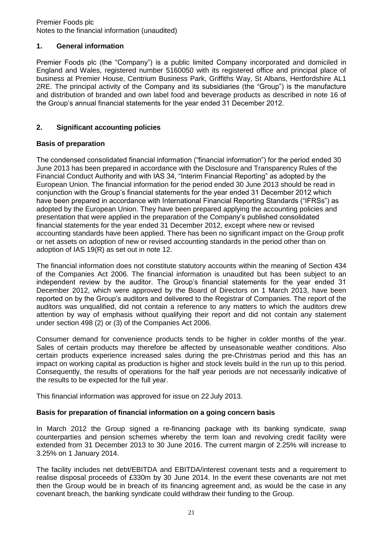# **1. General information**

Premier Foods plc (the "Company") is a public limited Company incorporated and domiciled in England and Wales, registered number 5160050 with its registered office and principal place of business at Premier House, Centrium Business Park, Griffiths Way, St Albans, Hertfordshire AL1 2RE. The principal activity of the Company and its subsidiaries (the "Group") is the manufacture and distribution of branded and own label food and beverage products as described in note 16 of the Group's annual financial statements for the year ended 31 December 2012.

# **2. Significant accounting policies**

# **Basis of preparation**

The condensed consolidated financial information ("financial information") for the period ended 30 June 2013 has been prepared in accordance with the Disclosure and Transparency Rules of the Financial Conduct Authority and with IAS 34, "Interim Financial Reporting" as adopted by the European Union. The financial information for the period ended 30 June 2013 should be read in conjunction with the Group's financial statements for the year ended 31 December 2012 which have been prepared in accordance with International Financial Reporting Standards ("IFRSs") as adopted by the European Union. They have been prepared applying the accounting policies and presentation that were applied in the preparation of the Company's published consolidated financial statements for the year ended 31 December 2012, except where new or revised accounting standards have been applied. There has been no significant impact on the Group profit or net assets on adoption of new or revised accounting standards in the period other than on adoption of IAS 19(R) as set out in note 12.

The financial information does not constitute statutory accounts within the meaning of Section 434 of the Companies Act 2006. The financial information is unaudited but has been subject to an independent review by the auditor. The Group's financial statements for the year ended 31 December 2012, which were approved by the Board of Directors on 1 March 2013, have been reported on by the Group's auditors and delivered to the Registrar of Companies. The report of the auditors was unqualified, did not contain a reference to any matters to which the auditors drew attention by way of emphasis without qualifying their report and did not contain any statement under section 498 (2) or (3) of the Companies Act 2006.

Consumer demand for convenience products tends to be higher in colder months of the year. Sales of certain products may therefore be affected by unseasonable weather conditions. Also certain products experience increased sales during the pre-Christmas period and this has an impact on working capital as production is higher and stock levels build in the run up to this period. Consequently, the results of operations for the half year periods are not necessarily indicative of the results to be expected for the full year.

This financial information was approved for issue on 22 July 2013.

# **Basis for preparation of financial information on a going concern basis**

In March 2012 the Group signed a re-financing package with its banking syndicate, swap counterparties and pension schemes whereby the term loan and revolving credit facility were extended from 31 December 2013 to 30 June 2016. The current margin of 2.25% will increase to 3.25% on 1 January 2014.

The facility includes net debt/EBITDA and EBITDA/interest covenant tests and a requirement to realise disposal proceeds of £330m by 30 June 2014. In the event these covenants are not met then the Group would be in breach of its financing agreement and, as would be the case in any covenant breach, the banking syndicate could withdraw their funding to the Group.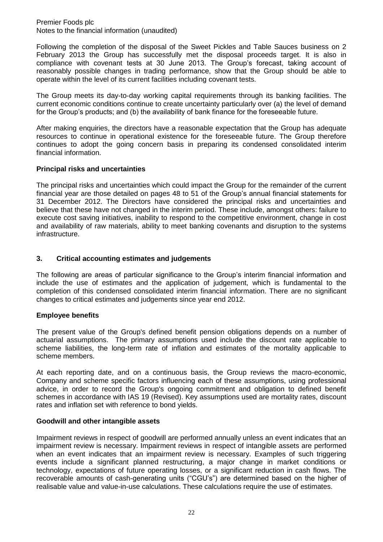Following the completion of the disposal of the Sweet Pickles and Table Sauces business on 2 February 2013 the Group has successfully met the disposal proceeds target. It is also in compliance with covenant tests at 30 June 2013. The Group's forecast, taking account of reasonably possible changes in trading performance, show that the Group should be able to operate within the level of its current facilities including covenant tests.

The Group meets its day-to-day working capital requirements through its banking facilities. The current economic conditions continue to create uncertainty particularly over (a) the level of demand for the Group's products; and (b) the availability of bank finance for the foreseeable future.

After making enquiries, the directors have a reasonable expectation that the Group has adequate resources to continue in operational existence for the foreseeable future. The Group therefore continues to adopt the going concern basis in preparing its condensed consolidated interim financial information.

# **Principal risks and uncertainties**

The principal risks and uncertainties which could impact the Group for the remainder of the current financial year are those detailed on pages 48 to 51 of the Group's annual financial statements for 31 December 2012. The Directors have considered the principal risks and uncertainties and believe that these have not changed in the interim period. These include, amongst others: failure to execute cost saving initiatives, inability to respond to the competitive environment, change in cost and availability of raw materials, ability to meet banking covenants and disruption to the systems infrastructure.

# **3. Critical accounting estimates and judgements**

The following are areas of particular significance to the Group's interim financial information and include the use of estimates and the application of judgement, which is fundamental to the completion of this condensed consolidated interim financial information. There are no significant changes to critical estimates and judgements since year end 2012.

# **Employee benefits**

The present value of the Group's defined benefit pension obligations depends on a number of actuarial assumptions. The primary assumptions used include the discount rate applicable to scheme liabilities, the long-term rate of inflation and estimates of the mortality applicable to scheme members.

At each reporting date, and on a continuous basis, the Group reviews the macro-economic, Company and scheme specific factors influencing each of these assumptions, using professional advice, in order to record the Group's ongoing commitment and obligation to defined benefit schemes in accordance with IAS 19 (Revised). Key assumptions used are mortality rates, discount rates and inflation set with reference to bond yields.

# **Goodwill and other intangible assets**

Impairment reviews in respect of goodwill are performed annually unless an event indicates that an impairment review is necessary. Impairment reviews in respect of intangible assets are performed when an event indicates that an impairment review is necessary. Examples of such triggering events include a significant planned restructuring, a major change in market conditions or technology, expectations of future operating losses, or a significant reduction in cash flows. The recoverable amounts of cash-generating units ("CGU's") are determined based on the higher of realisable value and value-in-use calculations. These calculations require the use of estimates.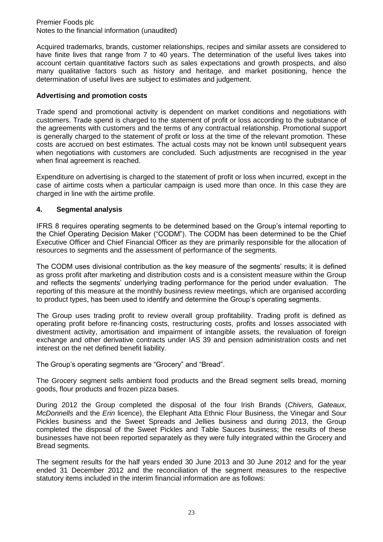Acquired trademarks, brands, customer relationships, recipes and similar assets are considered to have finite lives that range from 7 to 40 years. The determination of the useful lives takes into account certain quantitative factors such as sales expectations and growth prospects, and also many qualitative factors such as history and heritage, and market positioning, hence the determination of useful lives are subject to estimates and judgement.

# **Advertising and promotion costs**

Trade spend and promotional activity is dependent on market conditions and negotiations with customers. Trade spend is charged to the statement of profit or loss according to the substance of the agreements with customers and the terms of any contractual relationship. Promotional support is generally charged to the statement of profit or loss at the time of the relevant promotion. These costs are accrued on best estimates. The actual costs may not be known until subsequent years when negotiations with customers are concluded. Such adjustments are recognised in the year when final agreement is reached.

Expenditure on advertising is charged to the statement of profit or loss when incurred, except in the case of airtime costs when a particular campaign is used more than once. In this case they are charged in line with the airtime profile.

# **4. Segmental analysis**

IFRS 8 requires operating segments to be determined based on the Group's internal reporting to the Chief Operating Decision Maker ("CODM"). The CODM has been determined to be the Chief Executive Officer and Chief Financial Officer as they are primarily responsible for the allocation of resources to segments and the assessment of performance of the segments.

The CODM uses divisional contribution as the key measure of the segments' results; it is defined as gross profit after marketing and distribution costs and is a consistent measure within the Group and reflects the segments' underlying trading performance for the period under evaluation. The reporting of this measure at the monthly business review meetings, which are organised according to product types, has been used to identify and determine the Group's operating segments.

The Group uses trading profit to review overall group profitability. Trading profit is defined as operating profit before re-financing costs, restructuring costs, profits and losses associated with divestment activity, amortisation and impairment of intangible assets, the revaluation of foreign exchange and other derivative contracts under IAS 39 and pension administration costs and net interest on the net defined benefit liability.

The Group's operating segments are "Grocery" and "Bread".

The Grocery segment sells ambient food products and the Bread segment sells bread, morning goods, flour products and frozen pizza bases.

During 2012 the Group completed the disposal of the four Irish Brands (*Chivers, Gateaux, McDonnells* and the *Erin* licence), the Elephant Atta Ethnic Flour Business, the Vinegar and Sour Pickles business and the Sweet Spreads and Jellies business and during 2013, the Group completed the disposal of the Sweet Pickles and Table Sauces business; the results of these businesses have not been reported separately as they were fully integrated within the Grocery and Bread segments.

The segment results for the half years ended 30 June 2013 and 30 June 2012 and for the year ended 31 December 2012 and the reconciliation of the segment measures to the respective statutory items included in the interim financial information are as follows: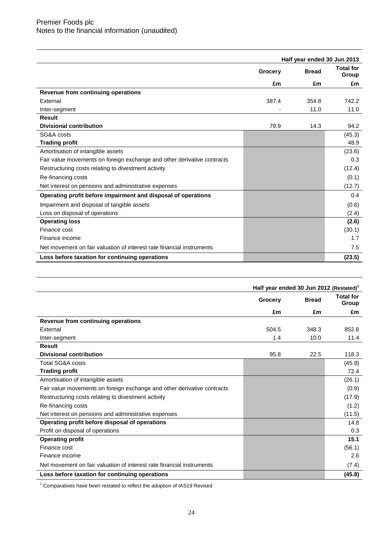|                                                                         |         | Half year ended 30 Jun 2013 |                           |
|-------------------------------------------------------------------------|---------|-----------------------------|---------------------------|
|                                                                         | Grocery | <b>Bread</b>                | <b>Total for</b><br>Group |
|                                                                         | £m      | £m                          | £m                        |
| Revenue from continuing operations                                      |         |                             |                           |
| External                                                                | 387.4   | 354.8                       | 742.2                     |
| Inter-segment                                                           |         | 11.0                        | 11.0                      |
| <b>Result</b>                                                           |         |                             |                           |
| <b>Divisional contribution</b>                                          | 79.9    | 14.3                        | 94.2                      |
| SG&A costs                                                              |         |                             | (45.3)                    |
| <b>Trading profit</b>                                                   |         |                             | 48.9                      |
| Amortisation of intangible assets                                       |         |                             | (23.6)                    |
| Fair value movements on foreign exchange and other derivative contracts |         |                             | 0.3                       |
| Restructuring costs relating to divestment activity                     |         |                             | (12.4)                    |
| Re-financing costs                                                      |         |                             | (0.1)                     |
| Net interest on pensions and administrative expenses                    |         |                             | (12.7)                    |
| Operating profit before impairment and disposal of operations           |         |                             | 0.4                       |
| Impairment and disposal of tangible assets                              |         |                             | (0.6)                     |
| Loss on disposal of operations                                          |         |                             | (2.4)                     |
| <b>Operating loss</b>                                                   |         |                             | (2.6)                     |
| Finance cost                                                            |         |                             | (30.1)                    |
| Finance income                                                          |         |                             | 1.7                       |
| Net movement on fair valuation of interest rate financial instruments   |         |                             | 7.5                       |
| Loss before taxation for continuing operations                          |         |                             | (23.5)                    |

|                                                                         | Half year ended 30 Jun 2012 (Restated) <sup>1</sup> |              |                           |
|-------------------------------------------------------------------------|-----------------------------------------------------|--------------|---------------------------|
|                                                                         | Grocery                                             | <b>Bread</b> | <b>Total for</b><br>Group |
|                                                                         | £m                                                  | £m           | £m                        |
| Revenue from continuing operations                                      |                                                     |              |                           |
| External                                                                | 504.5                                               | 348.3        | 852.8                     |
| Inter-segment                                                           | 1.4                                                 | 10.0         | 11.4                      |
| Result                                                                  |                                                     |              |                           |
| <b>Divisional contribution</b>                                          | 95.8                                                | 22.5         | 118.3                     |
| Total SG&A costs                                                        |                                                     |              | (45.9)                    |
| <b>Trading profit</b>                                                   |                                                     |              | 72.4                      |
| Amortisation of intangible assets                                       |                                                     |              | (26.1)                    |
| Fair value movements on foreign exchange and other derivative contracts |                                                     |              | (0.9)                     |
| Restructuring costs relating to divestment activity                     |                                                     |              | (17.9)                    |
| Re-financing costs                                                      |                                                     |              | (1.2)                     |
| Net interest on pensions and administrative expenses                    |                                                     |              | (11.5)                    |
| Operating profit before disposal of operations                          |                                                     |              | 14.8                      |
| Profit on disposal of operations                                        |                                                     |              | 0.3                       |
| <b>Operating profit</b>                                                 |                                                     |              | 15.1                      |
| Finance cost                                                            |                                                     |              | (56.1)                    |
| Finance income                                                          |                                                     |              | 2.6                       |
| Net movement on fair valuation of interest rate financial instruments   |                                                     |              | (7.4)                     |
| Loss before taxation for continuing operations                          |                                                     |              | (45.8)                    |

<sup>1</sup> Comparatives have been restated to reflect the adoption of IAS19 Revised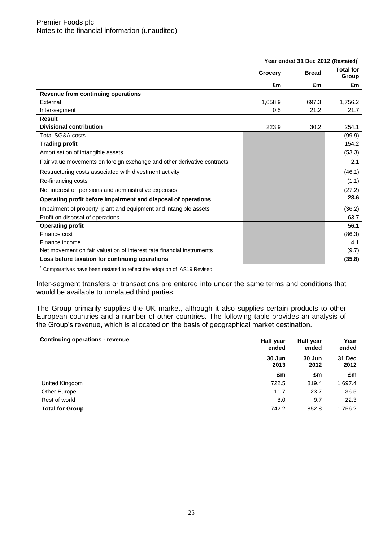|                                                                         | Year ended 31 Dec 2012 (Restated) <sup>1</sup> |              |                           |
|-------------------------------------------------------------------------|------------------------------------------------|--------------|---------------------------|
|                                                                         | Grocery                                        | <b>Bread</b> | <b>Total for</b><br>Group |
|                                                                         | £m                                             | £m           | £m                        |
| Revenue from continuing operations                                      |                                                |              |                           |
| External                                                                | 1,058.9                                        | 697.3        | 1,756.2                   |
| Inter-segment                                                           | 0.5                                            | 21.2         | 21.7                      |
| Result                                                                  |                                                |              |                           |
| <b>Divisional contribution</b>                                          | 223.9                                          | 30.2         | 254.1                     |
| Total SG&A costs                                                        |                                                |              | (99.9)                    |
| <b>Trading profit</b>                                                   |                                                |              | 154.2                     |
| Amortisation of intangible assets                                       |                                                |              | (53.3)                    |
| Fair value movements on foreign exchange and other derivative contracts |                                                |              | 2.1                       |
| Restructuring costs associated with divestment activity                 |                                                |              | (46.1)                    |
| Re-financing costs                                                      |                                                |              | (1.1)                     |
| Net interest on pensions and administrative expenses                    |                                                |              | (27.2)                    |
| Operating profit before impairment and disposal of operations           |                                                |              | 28.6                      |
| Impairment of property, plant and equipment and intangible assets       |                                                |              | (36.2)                    |
| Profit on disposal of operations                                        |                                                |              | 63.7                      |
| <b>Operating profit</b>                                                 |                                                |              | 56.1                      |
| Finance cost                                                            |                                                |              | (86.3)                    |
| Finance income                                                          |                                                |              | 4.1                       |
| Net movement on fair valuation of interest rate financial instruments   |                                                |              | (9.7)                     |
| Loss before taxation for continuing operations                          |                                                |              | (35.8)                    |
| $1 -$                                                                   |                                                |              |                           |

<sup>1</sup> Comparatives have been restated to reflect the adoption of IAS19 Revised

Inter-segment transfers or transactions are entered into under the same terms and conditions that would be available to unrelated third parties.

The Group primarily supplies the UK market, although it also supplies certain products to other European countries and a number of other countries. The following table provides an analysis of the Group's revenue, which is allocated on the basis of geographical market destination.

| <b>Continuing operations - revenue</b> | Half year<br>ended | Half year<br>ended | Year<br>ended         |
|----------------------------------------|--------------------|--------------------|-----------------------|
|                                        | 30 Jun<br>2013     | 30 Jun<br>2012     | <b>31 Dec</b><br>2012 |
|                                        | £m                 | £m                 | £m                    |
| United Kingdom                         | 722.5              | 819.4              | 1,697.4               |
| Other Europe                           | 11.7               | 23.7               | 36.5                  |
| Rest of world                          | 8.0                | 9.7                | 22.3                  |
| <b>Total for Group</b>                 | 742.2              | 852.8              | 1,756.2               |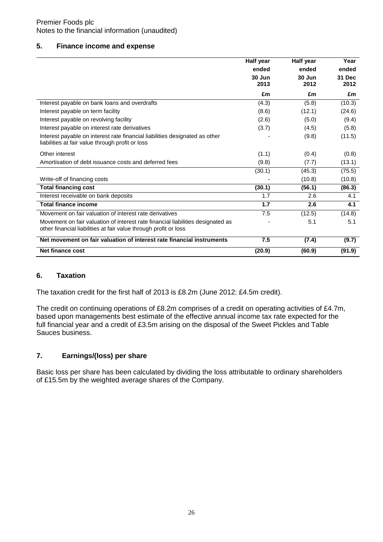# **5. Finance income and expense**

|                                                                                                                                                     | <b>Half</b> year | Half year      | Year           |
|-----------------------------------------------------------------------------------------------------------------------------------------------------|------------------|----------------|----------------|
|                                                                                                                                                     | ended            | ended          | ended          |
|                                                                                                                                                     | 30 Jun<br>2013   | 30 Jun<br>2012 | 31 Dec<br>2012 |
|                                                                                                                                                     | £m               | £m             | £m             |
| Interest payable on bank loans and overdrafts                                                                                                       | (4.3)            | (5.8)          | (10.3)         |
| Interest payable on term facility                                                                                                                   | (8.6)            | (12.1)         | (24.6)         |
| Interest payable on revolving facility                                                                                                              | (2.6)            | (5.0)          | (9.4)          |
| Interest payable on interest rate derivatives                                                                                                       | (3.7)            | (4.5)          | (5.8)          |
| Interest payable on interest rate financial liabilities designated as other<br>liabilities at fair value through profit or loss                     |                  | (9.8)          | (11.5)         |
| Other interest                                                                                                                                      | (1.1)            | (0.4)          | (0.8)          |
| Amortisation of debt issuance costs and deferred fees                                                                                               | (9.8)            | (7.7)          | (13.1)         |
|                                                                                                                                                     | (30.1)           | (45.3)         | (75.5)         |
| Write-off of financing costs                                                                                                                        |                  | (10.8)         | (10.8)         |
| <b>Total financing cost</b>                                                                                                                         | (30.1)           | (56.1)         | (86.3)         |
| Interest receivable on bank deposits                                                                                                                | 1.7              | 2.6            | 4.1            |
| <b>Total finance income</b>                                                                                                                         | 1.7              | 2.6            | 4.1            |
| Movement on fair valuation of interest rate derivatives                                                                                             | 7.5              | (12.5)         | (14.8)         |
| Movement on fair valuation of interest rate financial liabilities designated as<br>other financial liabilities at fair value through profit or loss |                  | 5.1            | 5.1            |
| Net movement on fair valuation of interest rate financial instruments                                                                               | 7.5              | (7.4)          | (9.7)          |
| Net finance cost                                                                                                                                    | (20.9)           | (60.9)         | (91.9)         |

# **6. Taxation**

The taxation credit for the first half of 2013 is £8.2m (June 2012: £4.5m credit).

The credit on continuing operations of £8.2m comprises of a credit on operating activities of £4.7m, based upon managements best estimate of the effective annual income tax rate expected for the full financial year and a credit of £3.5m arising on the disposal of the Sweet Pickles and Table Sauces business.

# **7. Earnings/(loss) per share**

Basic loss per share has been calculated by dividing the loss attributable to ordinary shareholders of £15.5m by the weighted average shares of the Company.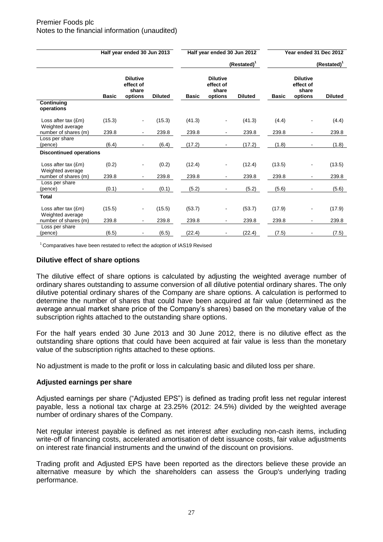|                                                  |              | Half year ended 30 Jun 2013                      |                |              | Half year ended 30 Jun 2012                      |                         |              | Year ended 31 Dec 2012                           |                |
|--------------------------------------------------|--------------|--------------------------------------------------|----------------|--------------|--------------------------------------------------|-------------------------|--------------|--------------------------------------------------|----------------|
|                                                  |              |                                                  |                |              |                                                  | (Restated) <sup>1</sup> |              |                                                  | $(Restated)^T$ |
|                                                  | <b>Basic</b> | <b>Dilutive</b><br>effect of<br>share<br>options | <b>Diluted</b> | <b>Basic</b> | <b>Dilutive</b><br>effect of<br>share<br>options | <b>Diluted</b>          | <b>Basic</b> | <b>Dilutive</b><br>effect of<br>share<br>options | <b>Diluted</b> |
| Continuing<br>operations                         |              |                                                  |                |              |                                                  |                         |              |                                                  |                |
| Loss after tax $(\text{Em})$<br>Weighted average | (15.3)       | $\blacksquare$                                   | (15.3)         | (41.3)       | $\qquad \qquad \blacksquare$                     | (41.3)                  | (4.4)        |                                                  | (4.4)          |
| number of shares (m)                             | 239.8        |                                                  | 239.8          | 239.8        | ۰                                                | 239.8                   | 239.8        | ۰                                                | 239.8          |
| Loss per share<br>(pence)                        | (6.4)        | $\blacksquare$                                   | (6.4)          | (17.2)       | $\sim$                                           | (17.2)                  | (1.8)        | $\blacksquare$                                   | (1.8)          |
| <b>Discontinued operations</b>                   |              |                                                  |                |              |                                                  |                         |              |                                                  |                |
| Loss after tax $(fm)$<br>Weighted average        | (0.2)        | $\overline{a}$                                   | (0.2)          | (12.4)       | $\blacksquare$                                   | (12.4)                  | (13.5)       |                                                  | (13.5)         |
| number of shares (m)                             | 239.8        |                                                  | 239.8          | 239.8        | $\blacksquare$                                   | 239.8                   | 239.8        | $\blacksquare$                                   | 239.8          |
| Loss per share<br>(pence)                        | (0.1)        |                                                  | (0.1)          | (5.2)        |                                                  | (5.2)                   | (5.6)        |                                                  | (5.6)          |
| <b>Total</b>                                     |              |                                                  |                |              |                                                  |                         |              |                                                  |                |
| Loss after tax $(fm)$<br>Weighted average        | (15.5)       | $\blacksquare$                                   | (15.5)         | (53.7)       | $\overline{\phantom{0}}$                         | (53.7)                  | (17.9)       |                                                  | (17.9)         |
| number of shares (m)                             | 239.8        |                                                  | 239.8          | 239.8        | ٠                                                | 239.8                   | 239.8        | ۰                                                | 239.8          |
| Loss per share<br>(pence)                        | (6.5)        |                                                  | (6.5)          | (22.4)       |                                                  | (22.4)                  | (7.5)        |                                                  | (7.5)          |

<sup>1</sup> Comparatives have been restated to reflect the adoption of IAS19 Revised

# **Dilutive effect of share options**

The dilutive effect of share options is calculated by adjusting the weighted average number of ordinary shares outstanding to assume conversion of all dilutive potential ordinary shares. The only dilutive potential ordinary shares of the Company are share options. A calculation is performed to determine the number of shares that could have been acquired at fair value (determined as the average annual market share price of the Company's shares) based on the monetary value of the subscription rights attached to the outstanding share options.

For the half years ended 30 June 2013 and 30 June 2012, there is no dilutive effect as the outstanding share options that could have been acquired at fair value is less than the monetary value of the subscription rights attached to these options.

No adjustment is made to the profit or loss in calculating basic and diluted loss per share.

#### **Adjusted earnings per share**

Adjusted earnings per share ("Adjusted EPS") is defined as trading profit less net regular interest payable, less a notional tax charge at 23.25% (2012: 24.5%) divided by the weighted average number of ordinary shares of the Company.

Net regular interest payable is defined as net interest after excluding non-cash items, including write-off of financing costs, accelerated amortisation of debt issuance costs, fair value adjustments on interest rate financial instruments and the unwind of the discount on provisions.

Trading profit and Adjusted EPS have been reported as the directors believe these provide an alternative measure by which the shareholders can assess the Group's underlying trading performance.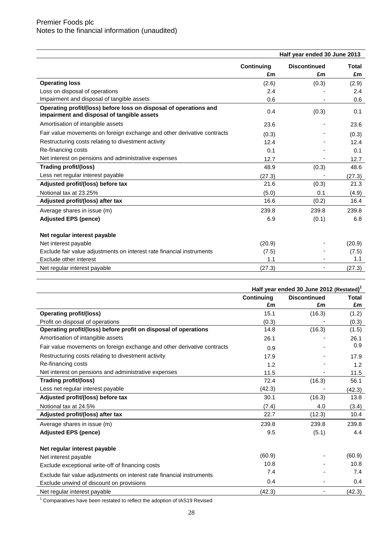|                                                                                                                 |            | Half year ended 30 June 2013 |        |
|-----------------------------------------------------------------------------------------------------------------|------------|------------------------------|--------|
|                                                                                                                 | Continuing | <b>Discontinued</b>          | Total  |
|                                                                                                                 | £m         | £m                           | £m     |
| <b>Operating loss</b>                                                                                           | (2.6)      | (0.3)                        | (2.9)  |
| Loss on disposal of operations                                                                                  | 2.4        |                              | 2.4    |
| Impairment and disposal of tangible assets                                                                      | 0.6        |                              | 0.6    |
| Operating profit/(loss) before loss on disposal of operations and<br>impairment and disposal of tangible assets | 0.4        | (0.3)                        | 0.1    |
| Amortisation of intangible assets                                                                               | 23.6       |                              | 23.6   |
| Fair value movements on foreign exchange and other derivative contracts                                         | (0.3)      |                              | (0.3)  |
| Restructuring costs relating to divestment activity                                                             | 12.4       |                              | 12.4   |
| Re-financing costs                                                                                              | 0.1        |                              | 0.1    |
| Net interest on pensions and administrative expenses                                                            | 12.7       | ٠                            | 12.7   |
| Trading profit/(loss)                                                                                           | 48.9       | (0.3)                        | 48.6   |
| Less net regular interest payable                                                                               | (27.3)     |                              | (27.3) |
| Adjusted profit/(loss) before tax                                                                               | 21.6       | (0.3)                        | 21.3   |
| Notional tax at 23.25%                                                                                          | (5.0)      | 0.1                          | (4.9)  |
| Adjusted profit/(loss) after tax                                                                                | 16.6       | (0.2)                        | 16.4   |
| Average shares in issue (m)                                                                                     | 239.8      | 239.8                        | 239.8  |
| <b>Adjusted EPS (pence)</b>                                                                                     | 6.9        | (0.1)                        | 6.8    |
| Net regular interest payable                                                                                    |            |                              |        |
| Net interest payable                                                                                            | (20.9)     |                              | (20.9) |
| Exclude fair value adjustments on interest rate financial instruments                                           | (7.5)      |                              | (7.5)  |
| Exclude other interest                                                                                          | 1.1        |                              | 1.1    |
| Net regular interest payable                                                                                    | (27.3)     |                              | (27.3) |

|                                                                         | Half year ended 30 June 2012 (Restated) <sup>1</sup> |                     |        |
|-------------------------------------------------------------------------|------------------------------------------------------|---------------------|--------|
|                                                                         | Continuing                                           | <b>Discontinued</b> | Total  |
|                                                                         | £m                                                   | £m                  | £m     |
| <b>Operating profit/(loss)</b>                                          | 15.1                                                 | (16.3)              | (1.2)  |
| Profit on disposal of operations                                        | (0.3)                                                |                     | (0.3)  |
| Operating profit/(loss) before profit on disposal of operations         | 14.8                                                 | (16.3)              | (1.5)  |
| Amortisation of intangible assets                                       | 26.1                                                 |                     | 26.1   |
| Fair value movements on foreign exchange and other derivative contracts | 0.9                                                  |                     | 0.9    |
| Restructuring costs relating to divestment activity                     | 17.9                                                 |                     | 17.9   |
| Re-financing costs                                                      | 1.2                                                  |                     | 1.2    |
| Net interest on pensions and administrative expenses                    | 11.5                                                 |                     | 11.5   |
| Trading profit/(loss)                                                   | 72.4                                                 | (16.3)              | 56.1   |
| Less net regular interest payable                                       | (42.3)                                               |                     | (42.3) |
| Adjusted profit/(loss) before tax                                       | 30.1                                                 | (16.3)              | 13.8   |
| Notional tax at 24.5%                                                   | (7.4)                                                | 4.0                 | (3.4)  |
| Adjusted profit/(loss) after tax                                        | 22.7                                                 | (12.3)              | 10.4   |
| Average shares in issue (m)                                             | 239.8                                                | 239.8               | 239.8  |
| <b>Adjusted EPS (pence)</b>                                             | 9.5                                                  | (5.1)               | 4.4    |
| Net regular interest payable                                            |                                                      |                     |        |
| Net interest payable                                                    | (60.9)                                               |                     | (60.9) |
| Exclude exceptional write-off of financing costs                        | 10.8                                                 |                     | 10.8   |
| Exclude fair value adjustments on interest rate financial instruments   | 7.4                                                  |                     | 7.4    |
| Exclude unwind of discount on provisions                                | 0.4                                                  |                     | 0.4    |
| Net regular interest payable                                            | (42.3)                                               |                     | (42.3) |
|                                                                         |                                                      |                     |        |

 $^1$  Comparatives have been restated to reflect the adoption of IAS19 Revised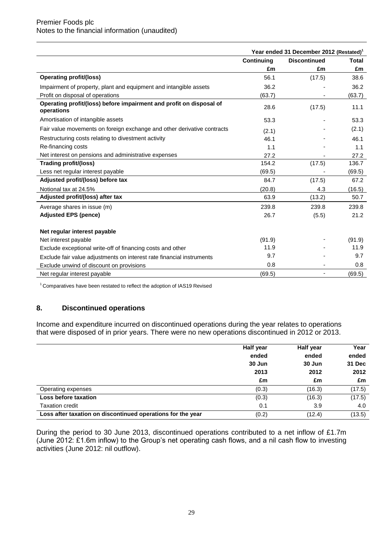|                                                                                   | Year ended 31 December 2012 (Restated) <sup>1</sup> |                     |              |  |
|-----------------------------------------------------------------------------------|-----------------------------------------------------|---------------------|--------------|--|
|                                                                                   | Continuing                                          | <b>Discontinued</b> | <b>Total</b> |  |
|                                                                                   | £m                                                  | £m                  | £m           |  |
| <b>Operating profit/(loss)</b>                                                    | 56.1                                                | (17.5)              | 38.6         |  |
| Impairment of property, plant and equipment and intangible assets                 | 36.2                                                |                     | 36.2         |  |
| Profit on disposal of operations                                                  | (63.7)                                              |                     | (63.7)       |  |
| Operating profit/(loss) before impairment and profit on disposal of<br>operations | 28.6                                                | (17.5)              | 11.1         |  |
| Amortisation of intangible assets                                                 | 53.3                                                |                     | 53.3         |  |
| Fair value movements on foreign exchange and other derivative contracts           | (2.1)                                               |                     | (2.1)        |  |
| Restructuring costs relating to divestment activity                               | 46.1                                                |                     | 46.1         |  |
| Re-financing costs                                                                | 1.1                                                 |                     | 1.1          |  |
| Net interest on pensions and administrative expenses                              | 27.2                                                |                     | 27.2         |  |
| Trading profit/(loss)                                                             | 154.2                                               | (17.5)              | 136.7        |  |
| Less net regular interest payable                                                 | (69.5)                                              |                     | (69.5)       |  |
| Adjusted profit/(loss) before tax                                                 | 84.7                                                | (17.5)              | 67.2         |  |
| Notional tax at 24.5%                                                             | (20.8)                                              | 4.3                 | (16.5)       |  |
| Adjusted profit/(loss) after tax                                                  | 63.9                                                | (13.2)              | 50.7         |  |
| Average shares in issue (m)                                                       | 239.8                                               | 239.8               | 239.8        |  |
| <b>Adjusted EPS (pence)</b>                                                       | 26.7                                                | (5.5)               | 21.2         |  |
| Net regular interest payable                                                      |                                                     |                     |              |  |
| Net interest payable                                                              | (91.9)                                              |                     | (91.9)       |  |
| Exclude exceptional write-off of financing costs and other                        | 11.9                                                |                     | 11.9         |  |
| Exclude fair value adjustments on interest rate financial instruments             | 9.7                                                 |                     | 9.7          |  |
| Exclude unwind of discount on provisions                                          | 0.8                                                 |                     | 0.8          |  |
| Net regular interest payable                                                      | (69.5)                                              | -                   | (69.5)       |  |

<sup>1</sup> Comparatives have been restated to reflect the adoption of IAS19 Revised

# **8. Discontinued operations**

Income and expenditure incurred on discontinued operations during the year relates to operations that were disposed of in prior years. There were no new operations discontinued in 2012 or 2013.

|                                                             | Half year | Half year | Year          |
|-------------------------------------------------------------|-----------|-----------|---------------|
|                                                             | ended     | ended     | ended         |
|                                                             | 30 Jun    | 30 Jun    | <b>31 Dec</b> |
|                                                             | 2013      | 2012      | 2012          |
|                                                             | £m        | £m        | £m            |
| Operating expenses                                          | (0.3)     | (16.3)    | (17.5)        |
| Loss before taxation                                        | (0.3)     | (16.3)    | (17.5)        |
| <b>Taxation credit</b>                                      | 0.1       | 3.9       | 4.0           |
| Loss after taxation on discontinued operations for the year | (0.2)     | (12.4)    | (13.5)        |

During the period to 30 June 2013, discontinued operations contributed to a net inflow of £1.7m (June 2012: £1.6m inflow) to the Group's net operating cash flows, and a nil cash flow to investing activities (June 2012: nil outflow).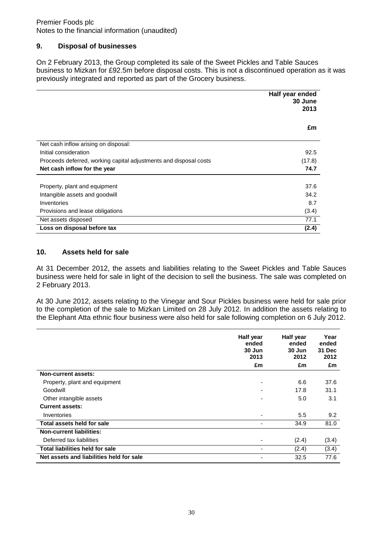# **9. Disposal of businesses**

On 2 February 2013, the Group completed its sale of the Sweet Pickles and Table Sauces business to Mizkan for £92.5m before disposal costs. This is not a discontinued operation as it was previously integrated and reported as part of the Grocery business.

|                                                                   | Half year ended<br>30 June<br>2013 |
|-------------------------------------------------------------------|------------------------------------|
|                                                                   | £m                                 |
| Net cash inflow arising on disposal:                              |                                    |
| Initial consideration                                             | 92.5                               |
| Proceeds deferred, working capital adjustments and disposal costs | (17.8)                             |
| Net cash inflow for the year                                      | 74.7                               |
|                                                                   |                                    |
| Property, plant and equipment                                     | 37.6                               |
| Intangible assets and goodwill                                    | 34.2                               |
| Inventories                                                       | 8.7                                |
| Provisions and lease obligations                                  | (3.4)                              |
| Net assets disposed                                               | 77.1                               |
| Loss on disposal before tax                                       | (2.4)                              |

# **10. Assets held for sale**

At 31 December 2012, the assets and liabilities relating to the Sweet Pickles and Table Sauces business were held for sale in light of the decision to sell the business. The sale was completed on 2 February 2013.

At 30 June 2012, assets relating to the Vinegar and Sour Pickles business were held for sale prior to the completion of the sale to Mizkan Limited on 28 July 2012. In addition the assets relating to the Elephant Atta ethnic flour business were also held for sale following completion on 6 July 2012.

|                                          | Half year<br>ended<br>30 Jun<br>2013 | Half year<br>ended<br>30 Jun<br>2012 | Year<br>ended<br>31 Dec<br>2012 |
|------------------------------------------|--------------------------------------|--------------------------------------|---------------------------------|
|                                          | £m                                   | £m                                   | £m                              |
| <b>Non-current assets:</b>               |                                      |                                      |                                 |
| Property, plant and equipment            | $\overline{\phantom{0}}$             | 6.6                                  | 37.6                            |
| Goodwill                                 |                                      | 17.8                                 | 31.1                            |
| Other intangible assets                  |                                      | 5.0                                  | 3.1                             |
| <b>Current assets:</b>                   |                                      |                                      |                                 |
| Inventories                              |                                      | 5.5                                  | 9.2                             |
| Total assets held for sale               |                                      | 34.9                                 | 81.0                            |
| <b>Non-current liabilities:</b>          |                                      |                                      |                                 |
| Deferred tax liabilities                 |                                      | (2.4)                                | (3.4)                           |
| <b>Total liabilities held for sale</b>   |                                      | (2.4)                                | (3.4)                           |
| Net assets and liabilities held for sale |                                      | 32.5                                 | 77.6                            |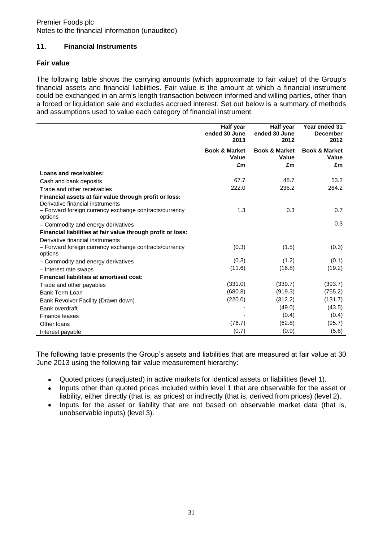# **11. Financial Instruments**

# **Fair value**

The following table shows the carrying amounts (which approximate to fair value) of the Group's financial assets and financial liabilities. Fair value is the amount at which a financial instrument could be exchanged in an arm's length transaction between informed and willing parties, other than a forced or liquidation sale and excludes accrued interest. Set out below is a summary of methods and assumptions used to value each category of financial instrument.

|                                                                                            | Half year<br>ended 30 June<br>2013 | Half year<br>ended 30 June<br>2012       | Year ended 31<br><b>December</b><br>2012 |
|--------------------------------------------------------------------------------------------|------------------------------------|------------------------------------------|------------------------------------------|
|                                                                                            | <b>Book &amp; Market</b><br>Value  | <b>Book &amp; Market</b><br><b>Value</b> | <b>Book &amp; Market</b><br>Value        |
|                                                                                            | £m                                 | £m                                       | £m                                       |
| Loans and receivables:                                                                     |                                    |                                          |                                          |
| Cash and bank deposits                                                                     | 67.7                               | 48.7                                     | 53.2                                     |
| Trade and other receivables                                                                | 222.0                              | 236.2                                    | 264.2                                    |
| Financial assets at fair value through profit or loss:<br>Derivative financial instruments |                                    |                                          |                                          |
| - Forward foreign currency exchange contracts/currency<br>options                          | 1.3                                | 0.3                                      | 0.7                                      |
| - Commodity and energy derivatives                                                         |                                    |                                          | 0.3                                      |
| Financial liabilities at fair value through profit or loss:                                |                                    |                                          |                                          |
| Derivative financial instruments                                                           |                                    |                                          |                                          |
| - Forward foreign currency exchange contracts/currency<br>options                          | (0.3)                              | (1.5)                                    | (0.3)                                    |
| - Commodity and energy derivatives                                                         | (0.3)                              | (1.2)                                    | (0.1)                                    |
| - Interest rate swaps                                                                      | (11.6)                             | (16.8)                                   | (19.2)                                   |
| <b>Financial liabilities at amortised cost:</b>                                            |                                    |                                          |                                          |
| Trade and other payables                                                                   | (331.0)                            | (339.7)                                  | (393.7)                                  |
| Bank Term Loan                                                                             | (680.8)                            | (919.3)                                  | (755.2)                                  |
| Bank Revolver Facility (Drawn down)                                                        | (220.0)                            | (312.2)                                  | (131.7)                                  |
| Bank overdraft                                                                             |                                    | (49.0)                                   | (43.5)                                   |
| Finance leases                                                                             |                                    | (0.4)                                    | (0.4)                                    |
| Other Ioans                                                                                | (76.7)                             | (62.8)                                   | (95.7)                                   |
| Interest payable                                                                           | (0.7)                              | (0.9)                                    | (5.6)                                    |

The following table presents the Group's assets and liabilities that are measured at fair value at 30 June 2013 using the following fair value measurement hierarchy:

- $\bullet$ Quoted prices (unadjusted) in active markets for identical assets or liabilities (level 1).
- Inputs other than quoted prices included within level 1 that are observable for the asset or  $\bullet$ liability, either directly (that is, as prices) or indirectly (that is, derived from prices) (level 2).
- Inputs for the asset or liability that are not based on observable market data (that is,  $\bullet$ unobservable inputs) (level 3).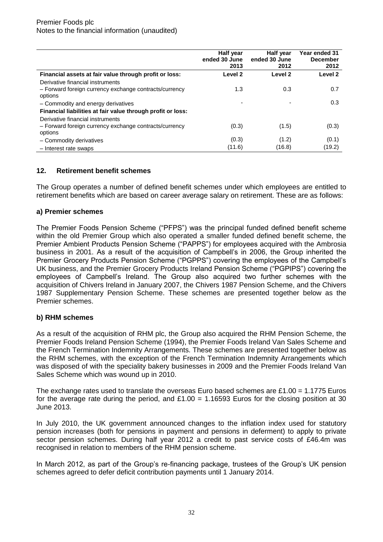|                                                                                                       | <b>Half year</b><br>ended 30 June<br>2013 | Half year<br>ended 30 June<br>2012 | Year ended 31<br><b>December</b><br>2012 |
|-------------------------------------------------------------------------------------------------------|-------------------------------------------|------------------------------------|------------------------------------------|
| Financial assets at fair value through profit or loss:                                                | Level 2                                   | Level 2                            | Level 2                                  |
| Derivative financial instruments<br>- Forward foreign currency exchange contracts/currency<br>options | 1.3                                       | 0.3                                | 0.7                                      |
| - Commodity and energy derivatives                                                                    |                                           |                                    | 0.3                                      |
| Financial liabilities at fair value through profit or loss:                                           |                                           |                                    |                                          |
| Derivative financial instruments<br>- Forward foreign currency exchange contracts/currency<br>options | (0.3)                                     | (1.5)                              | (0.3)                                    |
| - Commodity derivatives                                                                               | (0.3)                                     | (1.2)                              | (0.1)                                    |
| - Interest rate swaps                                                                                 | (11.6)                                    | (16.8)                             | (19.2)                                   |

# **12. Retirement benefit schemes**

The Group operates a number of defined benefit schemes under which employees are entitled to retirement benefits which are based on career average salary on retirement. These are as follows:

# **a) Premier schemes**

The Premier Foods Pension Scheme ("PFPS") was the principal funded defined benefit scheme within the old Premier Group which also operated a smaller funded defined benefit scheme, the Premier Ambient Products Pension Scheme ("PAPPS") for employees acquired with the Ambrosia business in 2001. As a result of the acquisition of Campbell's in 2006, the Group inherited the Premier Grocery Products Pension Scheme ("PGPPS") covering the employees of the Campbell's UK business, and the Premier Grocery Products Ireland Pension Scheme ("PGPIPS") covering the employees of Campbell's Ireland. The Group also acquired two further schemes with the acquisition of Chivers Ireland in January 2007, the Chivers 1987 Pension Scheme, and the Chivers 1987 Supplementary Pension Scheme. These schemes are presented together below as the Premier schemes.

# **b) RHM schemes**

As a result of the acquisition of RHM plc, the Group also acquired the RHM Pension Scheme, the Premier Foods Ireland Pension Scheme (1994), the Premier Foods Ireland Van Sales Scheme and the French Termination Indemnity Arrangements. These schemes are presented together below as the RHM schemes, with the exception of the French Termination Indemnity Arrangements which was disposed of with the speciality bakery businesses in 2009 and the Premier Foods Ireland Van Sales Scheme which was wound up in 2010.

The exchange rates used to translate the overseas Euro based schemes are £1.00 = 1.1775 Euros for the average rate during the period, and £1.00 = 1.16593 Euros for the closing position at 30 June 2013.

In July 2010, the UK government announced changes to the inflation index used for statutory pension increases (both for pensions in payment and pensions in deferment) to apply to private sector pension schemes. During half year 2012 a credit to past service costs of £46.4m was recognised in relation to members of the RHM pension scheme.

In March 2012, as part of the Group's re-financing package, trustees of the Group's UK pension schemes agreed to defer deficit contribution payments until 1 January 2014.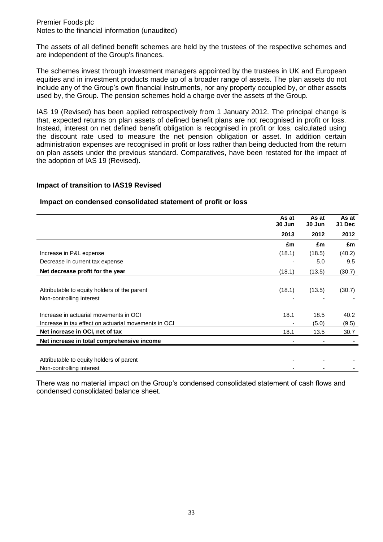The assets of all defined benefit schemes are held by the trustees of the respective schemes and are independent of the Group's finances.

The schemes invest through investment managers appointed by the trustees in UK and European equities and in investment products made up of a broader range of assets. The plan assets do not include any of the Group's own financial instruments, nor any property occupied by, or other assets used by, the Group. The pension schemes hold a charge over the assets of the Group.

IAS 19 (Revised) has been applied retrospectively from 1 January 2012. The principal change is that, expected returns on plan assets of defined benefit plans are not recognised in profit or loss. Instead, interest on net defined benefit obligation is recognised in profit or loss, calculated using the discount rate used to measure the net pension obligation or asset. In addition certain administration expenses are recognised in profit or loss rather than being deducted from the return on plan assets under the previous standard. Comparatives, have been restated for the impact of the adoption of IAS 19 (Revised).

#### **Impact of transition to IAS19 Revised**

## **Impact on condensed consolidated statement of profit or loss**

|                                                      | As at<br>30 Jun | As at<br>30 Jun | As at<br><b>31 Dec</b> |
|------------------------------------------------------|-----------------|-----------------|------------------------|
|                                                      | 2013            | 2012            | 2012                   |
|                                                      | £m              | £m              | £m                     |
| Increase in P&L expense                              | (18.1)          | (18.5)          | (40.2)                 |
| Decrease in current tax expense                      |                 | 5.0             | 9.5                    |
| Net decrease profit for the year                     | (18.1)          | (13.5)          | (30.7)                 |
|                                                      |                 |                 |                        |
| Attributable to equity holders of the parent         | (18.1)          | (13.5)          | (30.7)                 |
| Non-controlling interest                             |                 |                 |                        |
| Increase in actuarial movements in OCI               | 18.1            | 18.5            | 40.2                   |
| Increase in tax effect on actuarial movements in OCI |                 | (5.0)           | (9.5)                  |
| Net increase in OCI, net of tax                      | 18.1            | 13.5            | 30.7                   |
| Net increase in total comprehensive income           |                 |                 |                        |
|                                                      |                 |                 |                        |
| Attributable to equity holders of parent             |                 |                 |                        |
| Non-controlling interest                             |                 |                 |                        |

There was no material impact on the Group's condensed consolidated statement of cash flows and condensed consolidated balance sheet.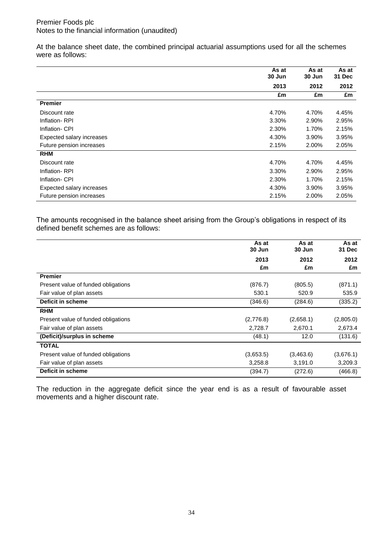At the balance sheet date, the combined principal actuarial assumptions used for all the schemes were as follows:

|                           | As at<br>30 Jun | As at<br>30 Jun | As at<br>31 Dec |
|---------------------------|-----------------|-----------------|-----------------|
|                           | 2013            | 2012            | 2012            |
|                           | £m              | £m              | £m              |
| <b>Premier</b>            |                 |                 |                 |
| Discount rate             | 4.70%           | 4.70%           | 4.45%           |
| Inflation-RPI             | 3.30%           | 2.90%           | 2.95%           |
| Inflation- CPI            | 2.30%           | 1.70%           | 2.15%           |
| Expected salary increases | 4.30%           | 3.90%           | 3.95%           |
| Future pension increases  | 2.15%           | 2.00%           | 2.05%           |
| <b>RHM</b>                |                 |                 |                 |
| Discount rate             | 4.70%           | 4.70%           | 4.45%           |
| Inflation-RPI             | 3.30%           | 2.90%           | 2.95%           |
| Inflation- CPI            | 2.30%           | 1.70%           | 2.15%           |
| Expected salary increases | 4.30%           | 3.90%           | 3.95%           |
| Future pension increases  | 2.15%           | 2.00%           | 2.05%           |

The amounts recognised in the balance sheet arising from the Group's obligations in respect of its defined benefit schemes are as follows:

|                                     | As at<br>30 Jun | As at<br>30 Jun | As at<br>31 Dec |
|-------------------------------------|-----------------|-----------------|-----------------|
|                                     | 2013            | 2012            | 2012            |
|                                     | £m              | £m              | £m              |
| <b>Premier</b>                      |                 |                 |                 |
| Present value of funded obligations | (876.7)         | (805.5)         | (871.1)         |
| Fair value of plan assets           | 530.1           | 520.9           | 535.9           |
| <b>Deficit in scheme</b>            | (346.6)         | (284.6)         | (335.2)         |
| <b>RHM</b>                          |                 |                 |                 |
| Present value of funded obligations | (2,776.8)       | (2,658.1)       | (2,805.0)       |
| Fair value of plan assets           | 2,728.7         | 2,670.1         | 2,673.4         |
| (Deficit)/surplus in scheme         | (48.1)          | 12.0            | (131.6)         |
| <b>TOTAL</b>                        |                 |                 |                 |
| Present value of funded obligations | (3,653.5)       | (3,463.6)       | (3,676.1)       |
| Fair value of plan assets           | 3,258.8         | 3,191.0         | 3,209.3         |
| Deficit in scheme                   | (394.7)         | (272.6)         | (466.8)         |

The reduction in the aggregate deficit since the year end is as a result of favourable asset movements and a higher discount rate.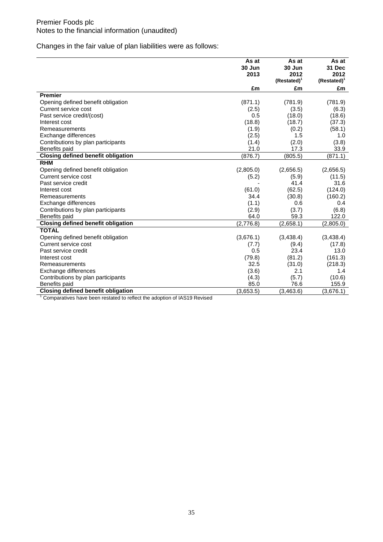Changes in the fair value of plan liabilities were as follows:

|                                           | As at     | As at          | As at                   |
|-------------------------------------------|-----------|----------------|-------------------------|
|                                           | 30 Jun    | 30 Jun         | 31 Dec                  |
|                                           | 2013      | 2012           | 2012                    |
|                                           |           | $(Restated)^T$ | (Restated) <sup>1</sup> |
|                                           | £m        | £m             | £m                      |
| <b>Premier</b>                            |           |                |                         |
| Opening defined benefit obligation        | (871.1)   | (781.9)        | (781.9)                 |
| Current service cost                      | (2.5)     | (3.5)          | (6.3)                   |
| Past service credit/(cost)                | 0.5       | (18.0)         | (18.6)                  |
| Interest cost                             | (18.8)    | (18.7)         | (37.3)                  |
| Remeasurements                            | (1.9)     | (0.2)          | (58.1)                  |
| Exchange differences                      | (2.5)     | 1.5            | 1.0                     |
| Contributions by plan participants        | (1.4)     | (2.0)          | (3.8)                   |
| Benefits paid                             | 21.0      | 17.3           | 33.9                    |
| <b>Closing defined benefit obligation</b> | (876.7)   | (805.5)        | (871.1)                 |
| <b>RHM</b>                                |           |                |                         |
| Opening defined benefit obligation        | (2,805.0) | (2,656.5)      | (2,656.5)               |
| Current service cost                      | (5.2)     | (5.9)          | (11.5)                  |
| Past service credit                       |           | 41.4           | 31.6                    |
| Interest cost                             | (61.0)    | (62.5)         | (124.0)                 |
| Remeasurements                            | 34.4      | (30.8)         | (160.2)                 |
| Exchange differences                      | (1.1)     | 0.6            | 0.4                     |
| Contributions by plan participants        | (2.9)     | (3.7)          | (6.8)                   |
| Benefits paid                             | 64.0      | 59.3           | 122.0                   |
| <b>Closing defined benefit obligation</b> | (2,776.8) | (2,658.1)      | (2,805.0)               |
| <b>TOTAL</b>                              |           |                |                         |
| Opening defined benefit obligation        | (3,676.1) | (3,438.4)      | (3,438.4)               |
| Current service cost                      | (7.7)     | (9.4)          | (17.8)                  |
| Past service credit                       | 0.5       | 23.4           | 13.0                    |
| Interest cost                             | (79.8)    | (81.2)         | (161.3)                 |
| Remeasurements                            | 32.5      | (31.0)         | (218.3)                 |
| Exchange differences                      | (3.6)     | 2.1            | 1.4                     |
| Contributions by plan participants        | (4.3)     | (5.7)          | (10.6)                  |
| Benefits paid                             | 85.0      | 76.6           | 155.9                   |
| <b>Closing defined benefit obligation</b> | (3,653.5) | (3,463.6)      | (3,676.1)               |

<sup>1</sup> Comparatives have been restated to reflect the adoption of IAS19 Revised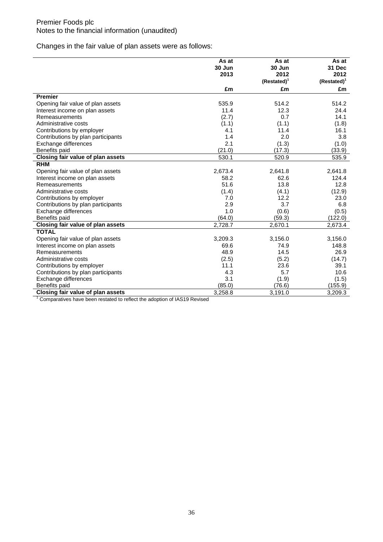Changes in the fair value of plan assets were as follows:

|                                    | As at          | As at          | As at                   |
|------------------------------------|----------------|----------------|-------------------------|
|                                    | 30 Jun<br>2013 | 30 Jun<br>2012 | 31 Dec<br>2012          |
|                                    |                | $(Restated)^T$ | (Restated) <sup>1</sup> |
|                                    | £m             | £m             | £m                      |
| <b>Premier</b>                     |                |                |                         |
| Opening fair value of plan assets  | 535.9          | 514.2          | 514.2                   |
| Interest income on plan assets     | 11.4           | 12.3           | 24.4                    |
| Remeasurements                     | (2.7)          | 0.7            | 14.1                    |
| Administrative costs               | (1.1)          | (1.1)          | (1.8)                   |
| Contributions by employer          | 4.1            | 11.4           | 16.1                    |
| Contributions by plan participants | 1.4            | 2.0            | 3.8                     |
| Exchange differences               | 2.1            | (1.3)          | (1.0)                   |
| Benefits paid                      | (21.0)         | (17.3)         | (33.9)                  |
| Closing fair value of plan assets  | 530.1          | 520.9          | 535.9                   |
| <b>RHM</b>                         |                |                |                         |
| Opening fair value of plan assets  | 2,673.4        | 2,641.8        | 2,641.8                 |
| Interest income on plan assets     | 58.2           | 62.6           | 124.4                   |
| Remeasurements                     | 51.6           | 13.8           | 12.8                    |
| Administrative costs               | (1.4)          | (4.1)          | (12.9)                  |
| Contributions by employer          | 7.0            | 12.2           | 23.0                    |
| Contributions by plan participants | 2.9            | 3.7            | 6.8                     |
| Exchange differences               | 1.0            | (0.6)          | (0.5)                   |
| Benefits paid                      | (64.0)         | (59.3)         | (122.0)                 |
| Closing fair value of plan assets  | 2,728.7        | 2,670.1        | 2,673.4                 |
| <b>TOTAL</b>                       |                |                |                         |
| Opening fair value of plan assets  | 3,209.3        | 3,156.0        | 3,156.0                 |
| Interest income on plan assets     | 69.6           | 74.9           | 148.8                   |
| Remeasurements                     | 48.9           | 14.5           | 26.9                    |
| Administrative costs               | (2.5)          | (5.2)          | (14.7)                  |
| Contributions by employer          | 11.1           | 23.6           | 39.1                    |
| Contributions by plan participants | 4.3            | 5.7            | 10.6                    |
| Exchange differences               | 3.1            | (1.9)          | (1.5)                   |
| Benefits paid                      | (85.0)         | (76.6)         | (155.9)                 |
| Closing fair value of plan assets  | 3,258.8        | 3,191.0        | 3,209.3                 |

<sup>1</sup> Comparatives have been restated to reflect the adoption of IAS19 Revised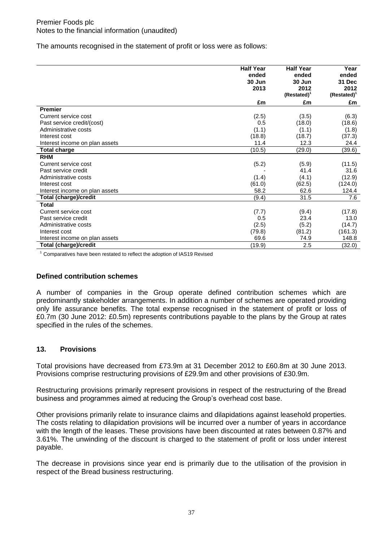The amounts recognised in the statement of profit or loss were as follows:

|                                | <b>Half Year</b><br>ended<br>30 Jun | <b>Half Year</b><br>ended<br>30 Jun | Year<br>ended<br>31 Dec         |
|--------------------------------|-------------------------------------|-------------------------------------|---------------------------------|
|                                | 2013                                | 2012<br>(Restated) <sup>1</sup>     | 2012<br>(Restated) <sup>1</sup> |
|                                | £m                                  | £m                                  | £m                              |
| <b>Premier</b>                 |                                     |                                     |                                 |
| Current service cost           | (2.5)                               | (3.5)                               | (6.3)                           |
| Past service credit/(cost)     | 0.5                                 | (18.0)                              | (18.6)                          |
| Administrative costs           | (1.1)                               | (1.1)                               | (1.8)                           |
| Interest cost                  | (18.8)                              | (18.7)                              | (37.3)                          |
| Interest income on plan assets | 11.4                                | 12.3                                | 24.4                            |
| Total charge                   | (10.5)                              | (29.0)                              | (39.6)                          |
| <b>RHM</b>                     |                                     |                                     |                                 |
| Current service cost           | (5.2)                               | (5.9)                               | (11.5)                          |
| Past service credit            |                                     | 41.4                                | 31.6                            |
| Administrative costs           | (1.4)                               | (4.1)                               | (12.9)                          |
| Interest cost                  | (61.0)                              | (62.5)                              | (124.0)                         |
| Interest income on plan assets | 58.2                                | 62.6                                | 124.4                           |
| Total (charge)/credit          | (9.4)                               | 31.5                                | 7.6                             |
| Total                          |                                     |                                     |                                 |
| Current service cost           | (7.7)                               | (9.4)                               | (17.8)                          |
| Past service credit            | 0.5                                 | 23.4                                | 13.0                            |
| Administrative costs           | (2.5)                               | (5.2)                               | (14.7)                          |
| Interest cost                  | (79.8)                              | (81.2)                              | (161.3)                         |
| Interest income on plan assets | 69.6                                | 74.9                                | 148.8                           |
| Total (charge)/credit          | (19.9)                              | 2.5                                 | (32.0)                          |

<sup>1</sup> Comparatives have been restated to reflect the adoption of IAS19 Revised

# **Defined contribution schemes**

A number of companies in the Group operate defined contribution schemes which are predominantly stakeholder arrangements. In addition a number of schemes are operated providing only life assurance benefits. The total expense recognised in the statement of profit or loss of £0.7m (30 June 2012: £0.5m) represents contributions payable to the plans by the Group at rates specified in the rules of the schemes.

# **13. Provisions**

Total provisions have decreased from £73.9m at 31 December 2012 to £60.8m at 30 June 2013. Provisions comprise restructuring provisions of £29.9m and other provisions of £30.9m.

Restructuring provisions primarily represent provisions in respect of the restructuring of the Bread business and programmes aimed at reducing the Group's overhead cost base.

Other provisions primarily relate to insurance claims and dilapidations against leasehold properties. The costs relating to dilapidation provisions will be incurred over a number of years in accordance with the length of the leases. These provisions have been discounted at rates between 0.87% and 3.61%. The unwinding of the discount is charged to the statement of profit or loss under interest payable.

The decrease in provisions since year end is primarily due to the utilisation of the provision in respect of the Bread business restructuring.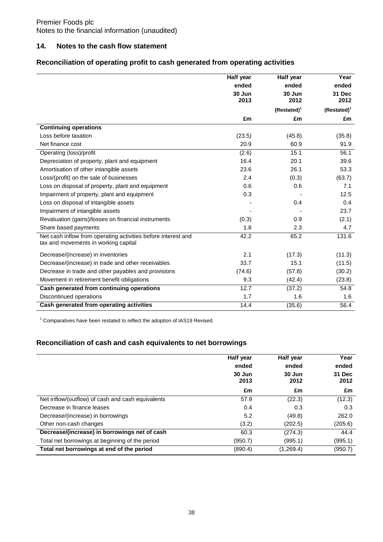## **14. Notes to the cash flow statement**

# **Reconciliation of operating profit to cash generated from operating activities**

|                                                                                                       | <b>Half year</b> | Half year               | Year                    |
|-------------------------------------------------------------------------------------------------------|------------------|-------------------------|-------------------------|
|                                                                                                       | ended            | ended                   | ended                   |
|                                                                                                       | 30 Jun           | 30 Jun                  | 31 Dec                  |
|                                                                                                       | 2013             | 2012                    | 2012                    |
|                                                                                                       |                  | (Restated) <sup>1</sup> | (Restated) <sup>1</sup> |
|                                                                                                       | £m               | £m                      | £m                      |
| <b>Continuing operations</b>                                                                          |                  |                         |                         |
| Loss before taxation                                                                                  | (23.5)           | (45.8)                  | (35.8)                  |
| Net finance cost                                                                                      | 20.9             | 60.9                    | 91.9                    |
| Operating (loss)/profit                                                                               | (2.6)            | 15.1                    | 56.1                    |
| Depreciation of property, plant and equipment                                                         | 16.4             | 20.1                    | 39.6                    |
| Amortisation of other intangible assets                                                               | 23.6             | 26.1                    | 53.3                    |
| Loss/(profit) on the sale of businesses                                                               | 2.4              | (0.3)                   | (63.7)                  |
| Loss on disposal of property, plant and equipment                                                     | 0.6              | 0.6                     | 7.1                     |
| Impairment of property, plant and equipment                                                           | 0.3              |                         | 12.5                    |
| Loss on disposal of intangible assets                                                                 |                  | 0.4                     | 0.4                     |
| Impairment of intangible assets                                                                       |                  |                         | 23.7                    |
| Revaluation (gains)/losses on financial instruments                                                   | (0.3)            | 0.9                     | (2.1)                   |
| Share based payments                                                                                  | 1.8              | 2.3                     | 4.7                     |
| Net cash inflow from operating activities before interest and<br>tax and movements in working capital | 42.2             | 65.2                    | 131.6                   |
| Decrease/(increase) in inventories                                                                    | 2.1              | (17.3)                  | (11.3)                  |
| Decrease/(increase) in trade and other receivables                                                    | 33.7             | 15.1                    | (11.5)                  |
| Decrease in trade and other payables and provisions                                                   | (74.6)           | (57.8)                  | (30.2)                  |
| Movement in retirement benefit obligations                                                            | 9.3              | (42.4)                  | (23.8)                  |
| Cash generated from continuing operations                                                             | 12.7             | (37.2)                  | 54.8                    |
| Discontinued operations                                                                               | 1.7              | 1.6                     | 1.6                     |
| Cash generated from operating activities                                                              | 14.4             | (35.6)                  | 56.4                    |

<sup>1</sup> Comparatives have been restated to reflect the adoption of IAS19 Revised.

# **Reconciliation of cash and cash equivalents to net borrowings**

|                                                   | Half year<br>ended<br>30 Jun<br>2013 | Half year<br>ended<br>30 Jun<br>2012 | Year<br>ended<br>31 Dec<br>2012 |
|---------------------------------------------------|--------------------------------------|--------------------------------------|---------------------------------|
|                                                   | £m                                   | £m                                   | £m                              |
| Net inflow/(outflow) of cash and cash equivalents | 57.9                                 | (22.3)                               | (12.3)                          |
| Decrease in finance leases                        | 0.4                                  | 0.3                                  | 0.3                             |
| Decrease/(increase) in borrowings                 | 5.2                                  | (49.8)                               | 262.0                           |
| Other non-cash changes                            | (3.2)                                | (202.5)                              | (205.6)                         |
| Decrease/(increase) in borrowings net of cash     | 60.3                                 | (274.3)                              | 44.4                            |
| Total net borrowings at beginning of the period   | (950.7)                              | (995.1)                              | (995.1)                         |
| Total net borrowings at end of the period         | (890.4)                              | (1,269.4)                            | (950.7)                         |